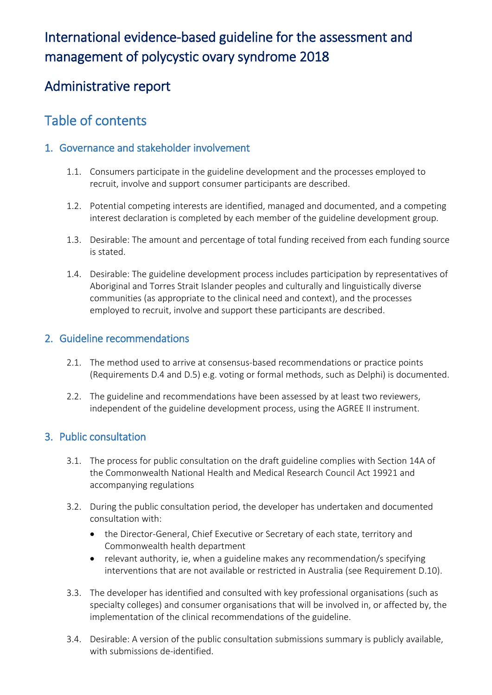# International evidence-based guideline for the assessment and management of polycystic ovary syndrome 2018

# Administrative report

# Table of contents

# 1. Governance and stakeholder involvement

- 1.1. [Consumers participate in the guideline development and the processes employed to](#page-2-0)  recruit, involve and support consumer participants are described.
- 1.2. [Potential competing interests are identified, managed and documented, and a competing](#page-2-0)  interest declaration is completed by each member of the guideline development group.
- 1.3. [Desirable: The amount and percentage of total funding received from each funding source](#page-3-0)  is stated.
- 1.4. [Desirable: The guideline development process includes participation by representatives of](#page-3-0)  Aboriginal and Torres Strait Islander peoples and culturally and linguistically diverse communities (as appropriate to the clinical need and context), and the processes employed to recruit, involve and support these participants are described.

# 2. Guideline recommendations

- 2.1. The method used to arrive at consensus-based recommendations or practice points [\(Requirements D.4 and D.5\) e.g. voting or formal methods, such as Delphi\) is documented.](#page-3-0)
- 2.2. The guideline and recommendations have been assessed by at least two reviewers, [independent of the guideline development process, using the AGREE II instrument.](#page-4-0)

# 3. Public consultation

- 3.1. [The process for public consultation on the draft guideline complies with Section 14A of](#page-4-0)  the Commonwealth National Health and Medical Research Council Act 19921 and accompanying regulations
- 3.2. [During the public consultation period, the developer has undertaken and documented](#page-4-0)  consultation with:
	- the Director-General, Chief Executive or Secretary of each state, territory and Commonwealth health department
	- relevant authority, ie, when a guideline makes any recommendation/s specifying interventions that are not available or restricted in Australia (see Requirement D.10).
- 3.3. The developer has identified and consulted with key professional organisations (such as [specialty colleges\) and consumer organisations that will be involved in, or affected by, the](#page-5-0)  implementation of the clinical recommendations of the guideline.
- 3.4. [Desirable: A version of the public consultation submissions summary is publicly available,](#page-8-0)  with submissions de-identified.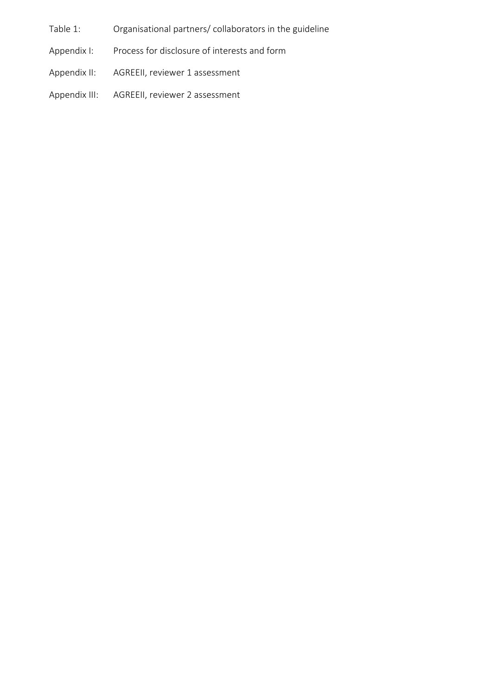- [Table 1: Organisational partners/ collaborators in the guideline](#page-6-0)
- [Appendix I: Process for disclosure of interests and form](#page-9-0)
- Appendix II: [AGREEII, reviewer 1 assessment](#page-15-0)
- [Appendix III: AGREEII, reviewer 2 assessment](#page-38-0)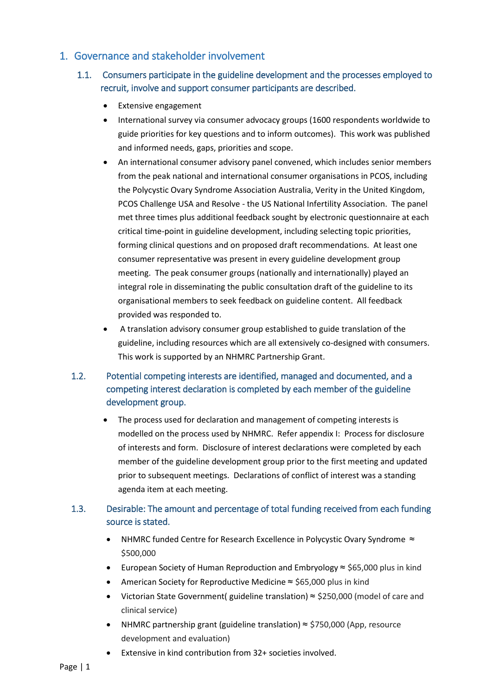# <span id="page-2-0"></span>1. Governance and stakeholder involvement

# 1.1. Consumers participate in the guideline development and the processes employed to recruit, involve and support consumer participants are described.

- Extensive engagement
- International survey via consumer advocacy groups (1600 respondents worldwide to guide priorities for key questions and to inform outcomes). This work was published and informed needs, gaps, priorities and scope.
- An international consumer advisory panel convened, which includes senior members from the peak national and international consumer organisations in PCOS, including the Polycystic Ovary Syndrome Association Australia, Verity in the United Kingdom, PCOS Challenge USA and Resolve - the US National Infertility Association. The panel met three times plus additional feedback sought by electronic questionnaire at each critical time-point in guideline development, including selecting topic priorities, forming clinical questions and on proposed draft recommendations. At least one consumer representative was present in every guideline development group meeting. The peak consumer groups (nationally and internationally) played an integral role in disseminating the public consultation draft of the guideline to its organisational members to seek feedback on guideline content. All feedback provided was responded to.
- A translation advisory consumer group established to guide translation of the guideline, including resources which are all extensively co-designed with consumers. This work is supported by an NHMRC Partnership Grant.

# 1.2. Potential competing interests are identified, managed and documented, and a competing interest declaration is completed by each member of the guideline development group.

• The process used for declaration and management of competing interests is modelled on the process used by NHMRC. Refer appendix I: Process for disclosure of interests and form. Disclosure of interest declarations were completed by each member of the guideline development group prior to the first meeting and updated prior to subsequent meetings. Declarations of conflict of interest was a standing agenda item at each meeting.

# 1.3. Desirable: The amount and percentage of total funding received from each funding source is stated.

- NHMRC funded Centre for Research Excellence in Polycystic Ovary Syndrome ≈ \$500,000
- European Society of Human Reproduction and Embryology ≈ \$65,000 plus in kind
- American Society for Reproductive Medicine ≈ \$65,000 plus in kind
- Victorian State Government( guideline translation) ≈ \$250,000 (model of care and clinical service)
- NHMRC partnership grant (guideline translation) ≈ \$750,000 (App, resource development and evaluation)
- Extensive in kind contribution from 32+ societies involved.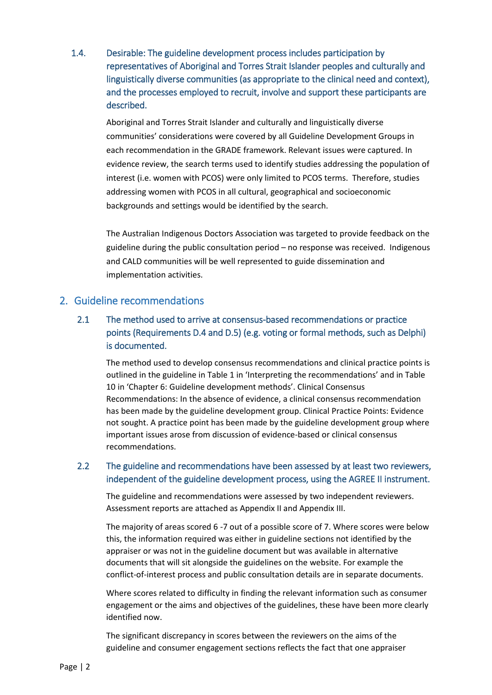<span id="page-3-0"></span>1.4. Desirable: The guideline development process includes participation by representatives of Aboriginal and Torres Strait Islander peoples and culturally and linguistically diverse communities (as appropriate to the clinical need and context), and the processes employed to recruit, involve and support these participants are described.

Aboriginal and Torres Strait Islander and culturally and linguistically diverse communities' considerations were covered by all Guideline Development Groups in each recommendation in the GRADE framework. Relevant issues were captured. In evidence review, the search terms used to identify studies addressing the population of interest (i.e. women with PCOS) were only limited to PCOS terms. Therefore, studies addressing women with PCOS in all cultural, geographical and socioeconomic backgrounds and settings would be identified by the search.

The Australian Indigenous Doctors Association was targeted to provide feedback on the guideline during the public consultation period – no response was received. Indigenous and CALD communities will be well represented to guide dissemination and implementation activities.

# 2. Guideline recommendations

# 2.1 The method used to arrive at consensus-based recommendations or practice points (Requirements D.4 and D.5) (e.g. voting or formal methods, such as Delphi) is documented.

The method used to develop consensus recommendations and clinical practice points is outlined in the guideline in Table 1 in 'Interpreting the recommendations' and in Table 10 in 'Chapter 6: Guideline development methods'. Clinical Consensus Recommendations: In the absence of evidence, a clinical consensus recommendation has been made by the guideline development group. Clinical Practice Points: Evidence not sought. A practice point has been made by the guideline development group where important issues arose from discussion of evidence-based or clinical consensus recommendations.

# 2.2 The guideline and recommendations have been assessed by at least two reviewers, independent of the guideline development process, using the AGREE II instrument.

The guideline and recommendations were assessed by two independent reviewers. Assessment reports are attached as Appendix II and Appendix III.

The majority of areas scored 6 -7 out of a possible score of 7. Where scores were below this, the information required was either in guideline sections not identified by the appraiser or was not in the guideline document but was available in alternative documents that will sit alongside the guidelines on the website. For example the conflict-of-interest process and public consultation details are in separate documents.

Where scores related to difficulty in finding the relevant information such as consumer engagement or the aims and objectives of the guidelines, these have been more clearly identified now.

The significant discrepancy in scores between the reviewers on the aims of the guideline and consumer engagement sections reflects the fact that one appraiser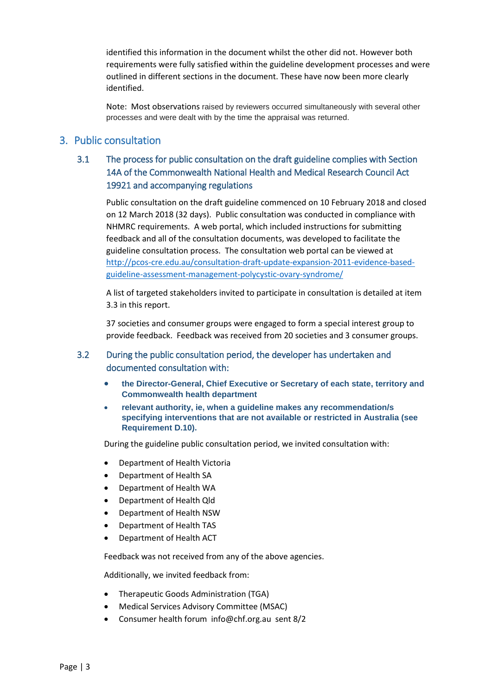<span id="page-4-0"></span>identified this information in the document whilst the other did not. However both requirements were fully satisfied within the guideline development processes and were outlined in different sections in the document. These have now been more clearly identified.

Note: Most observations raised by reviewers occurred simultaneously with several other processes and were dealt with by the time the appraisal was returned.

# 3. Public consultation

# 3.1 The process for public consultation on the draft guideline complies with Section 14A of the Commonwealth National Health and Medical Research Council Act 19921 and accompanying regulations

Public consultation on the draft guideline commenced on 10 February 2018 and closed on 12 March 2018 (32 days). Public consultation was conducted in compliance with NHMRC requirements. A web portal, which included instructions for submitting feedback and all of the consultation documents, was developed to facilitate the guideline consultation process. The consultation web portal can be viewed at [http://pcos-cre.edu.au/consultation-draft-update-expansion-2011-evidence-based](http://pcos-cre.edu.au/consultation-draft-update-expansion-2011-evidence-based-guideline-assessment-management-polycystic-ovary-syndrome/)[guideline-assessment-management-polycystic-ovary-syndrome/](http://pcos-cre.edu.au/consultation-draft-update-expansion-2011-evidence-based-guideline-assessment-management-polycystic-ovary-syndrome/)

A list of targeted stakeholders invited to participate in consultation is detailed at item 3.3 in this report.

37 societies and consumer groups were engaged to form a special interest group to provide feedback. Feedback was received from 20 societies and 3 consumer groups.

# 3.2 During the public consultation period, the developer has undertaken and documented consultation with:

- **the Director-General, Chief Executive or Secretary of each state, territory and Commonwealth health department**
- **relevant authority, ie, when a guideline makes any recommendation/s specifying interventions that are not available or restricted in Australia (see Requirement D.10).**

During the guideline public consultation period, we invited consultation with:

- Department of Health Victoria
- Department of Health SA
- Department of Health WA
- Department of Health Qld
- Department of Health NSW
- Department of Health TAS
- Department of Health ACT

Feedback was not received from any of the above agencies.

Additionally, we invited feedback from:

- Therapeutic Goods Administration (TGA)
- Medical Services Advisory Committee (MSAC)
- Consumer health forum info@chf.org.au sent 8/2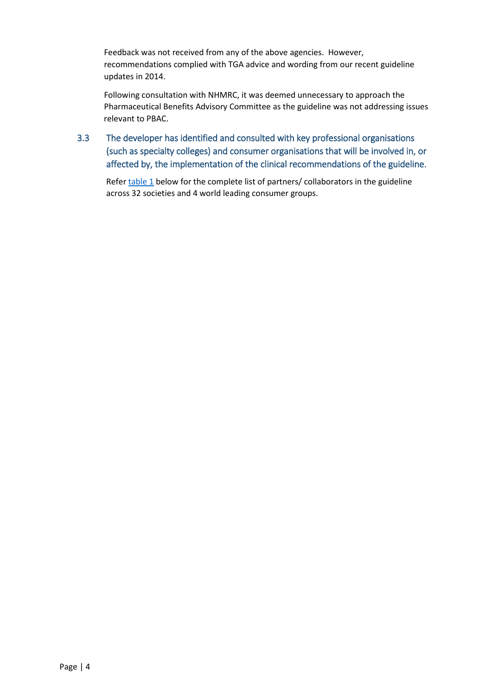<span id="page-5-0"></span>Feedback was not received from any of the above agencies. However, recommendations complied with TGA advice and wording from our recent guideline updates in 2014.

Following consultation with NHMRC, it was deemed unnecessary to approach the Pharmaceutical Benefits Advisory Committee as the guideline was not addressing issues relevant to PBAC.

# 3.3 The developer has identified and consulted with key professional organisations (such as specialty colleges) and consumer organisations that will be involved in, or affected by, the implementation of the clinical recommendations of the guideline.

Refer [table 1](#page-6-1) below for the complete list of partners/ collaborators in the guideline across 32 societies and 4 world leading consumer groups.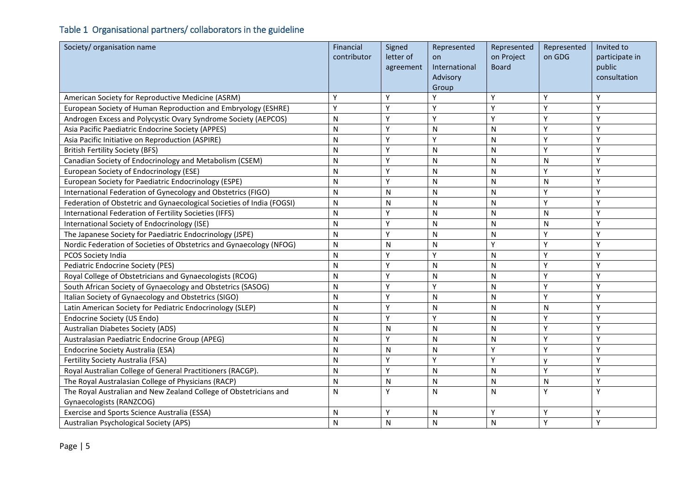# <span id="page-6-0"></span>Table 1 Organisational partners/ collaborators in the guideline

<span id="page-6-1"></span>

| Society/ organisation name                                            | Financial<br>contributor | Signed<br>letter of<br>agreement | Represented<br><b>on</b><br>International<br>Advisory<br>Group | Represented<br>on Project<br><b>Board</b> | Represented<br>on GDG | Invited to<br>participate in<br>public<br>consultation |
|-----------------------------------------------------------------------|--------------------------|----------------------------------|----------------------------------------------------------------|-------------------------------------------|-----------------------|--------------------------------------------------------|
| American Society for Reproductive Medicine (ASRM)                     | Y                        | Y                                |                                                                | Υ                                         | Y                     | Y                                                      |
| European Society of Human Reproduction and Embryology (ESHRE)         | Y                        | Y                                | γ                                                              | Υ                                         | Y                     | Y                                                      |
| Androgen Excess and Polycystic Ovary Syndrome Society (AEPCOS)        | N                        | Y                                | Υ                                                              | Y                                         | Y                     | Y                                                      |
| Asia Pacific Paediatric Endocrine Society (APPES)                     | N                        | Y                                | N                                                              | N                                         | Y                     | Y                                                      |
| Asia Pacific Initiative on Reproduction (ASPIRE)                      | N                        | Y                                | Υ                                                              | N                                         | Y                     | Y                                                      |
| <b>British Fertility Society (BFS)</b>                                | N                        | Y                                | N                                                              | N                                         | Y                     | Y                                                      |
| Canadian Society of Endocrinology and Metabolism (CSEM)               | ${\sf N}$                | Y                                | ${\sf N}$                                                      | $\mathsf{N}$                              | ${\sf N}$             | Y                                                      |
| European Society of Endocrinology (ESE)                               | N                        | Y                                | N                                                              | N                                         | Y                     | Y                                                      |
| European Society for Paediatric Endocrinology (ESPE)                  | N                        | Y                                | N                                                              | $\mathsf{N}$                              | ${\sf N}$             | Y                                                      |
| International Federation of Gynecology and Obstetrics (FIGO)          | N                        | N                                | N                                                              | N                                         | Y                     | Υ                                                      |
| Federation of Obstetric and Gynaecological Societies of India (FOGSI) | N                        | N                                | N                                                              | N                                         | Y                     | Y                                                      |
| International Federation of Fertility Societies (IFFS)                | N                        | Y                                | N                                                              | N                                         | N                     | Y                                                      |
| International Society of Endocrinology (ISE)                          | N                        | Y                                | N                                                              | $\mathsf{N}$                              | ${\sf N}$             | Υ                                                      |
| The Japanese Society for Paediatric Endocrinology (JSPE)              | N                        | Y                                | N                                                              | N                                         | Y                     | Y                                                      |
| Nordic Federation of Societies of Obstetrics and Gynaecology (NFOG)   | N                        | N                                | N                                                              | Y                                         | Y                     | Υ                                                      |
| PCOS Society India                                                    | N                        | Y                                | Y                                                              | N                                         | Y                     | Y                                                      |
| Pediatric Endocrine Society (PES)                                     | N                        | Y                                | N                                                              | N                                         | Y                     | Y                                                      |
| Royal College of Obstetricians and Gynaecologists (RCOG)              | N                        | Y                                | N                                                              | N                                         | Y                     | Y                                                      |
| South African Society of Gynaecology and Obstetrics (SASOG)           | N                        | Y                                | Y                                                              | N                                         | Y                     | Y                                                      |
| Italian Society of Gynaecology and Obstetrics (SIGO)                  | N                        | Y                                | N                                                              | N                                         | Y                     | Y                                                      |
| Latin American Society for Pediatric Endocrinology (SLEP)             | ${\sf N}$                | Y                                | N                                                              | N                                         | N                     | Y                                                      |
| Endocrine Society (US Endo)                                           | ${\sf N}$                | Y                                | Υ                                                              | N                                         | Y                     | Y                                                      |
| Australian Diabetes Society (ADS)                                     | N                        | N                                | N                                                              | N                                         | Y                     | Y                                                      |
| Australasian Paediatric Endocrine Group (APEG)                        | N                        | Y                                | N                                                              | N                                         | Y                     | Y                                                      |
| Endocrine Society Australia (ESA)                                     | N                        | N                                | N                                                              | Y                                         | Y                     | Y                                                      |
| Fertility Society Australia (FSA)                                     | N                        | Y                                | Υ                                                              | Y                                         | $\mathsf{v}$          | Y                                                      |
| Royal Australian College of General Practitioners (RACGP).            | N                        | Y                                | N                                                              | N                                         | Y                     | Y                                                      |
| The Royal Australasian College of Physicians (RACP)                   | N                        | ${\sf N}$                        | N                                                              | N                                         | N                     | Y                                                      |
| The Royal Australian and New Zealand College of Obstetricians and     | N                        | Y                                | N                                                              | N                                         | Y                     | Y                                                      |
| Gynaecologists (RANZCOG)                                              |                          |                                  |                                                                |                                           |                       |                                                        |
| Exercise and Sports Science Australia (ESSA)                          | N                        | Y                                | N                                                              | Y                                         | Y                     | Y                                                      |
| Australian Psychological Society (APS)                                | N                        | N                                | N                                                              | N                                         | Y                     | Y                                                      |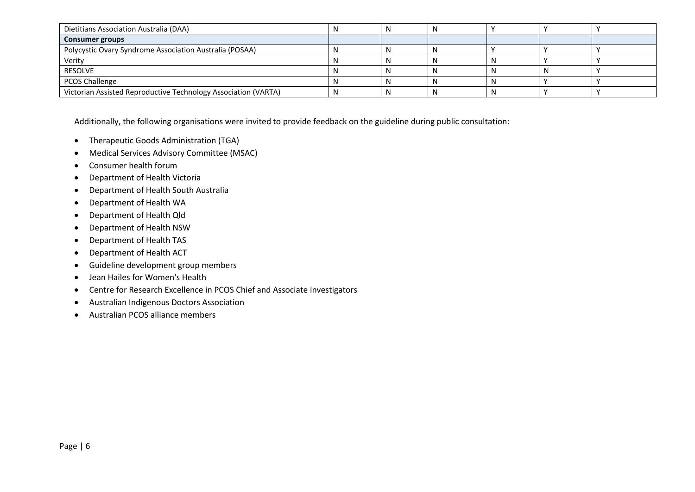| Dietitians Association Australia (DAA)                         |  |  |  |
|----------------------------------------------------------------|--|--|--|
| <b>Consumer groups</b>                                         |  |  |  |
| Polycystic Ovary Syndrome Association Australia (POSAA)        |  |  |  |
| Verity                                                         |  |  |  |
| <b>RESOLVE</b>                                                 |  |  |  |
| PCOS Challenge                                                 |  |  |  |
| Victorian Assisted Reproductive Technology Association (VARTA) |  |  |  |

Additionally, the following organisations were invited to provide feedback on the guideline during public consultation:

- Therapeutic Goods Administration (TGA)
- Medical Services Advisory Committee (MSAC)
- Consumer health forum
- Department of Health Victoria
- Department of Health South Australia
- Department of Health WA
- Department of Health Qld
- Department of Health NSW
- Department of Health TAS
- Department of Health ACT
- Guideline development group members
- Jean Hailes for Women's Health
- Centre for Research Excellence in PCOS Chief and Associate investigators
- Australian Indigenous Doctors Association
- Australian PCOS alliance members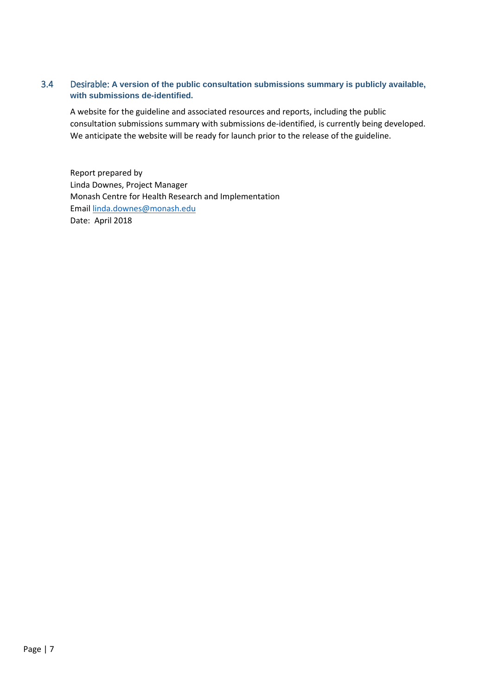#### <span id="page-8-0"></span>3.4 Desirable: **A version of the public consultation submissions summary is publicly available, with submissions de-identified.**

A website for the guideline and associated resources and reports, including the public consultation submissions summary with submissions de-identified, is currently being developed. We anticipate the website will be ready for launch prior to the release of the guideline.

Report prepared by Linda Downes, Project Manager Monash Centre for Health Research and Implementation Email [linda.downes@monash.edu](mailto:linda.downes@monash.edu) Date: April 2018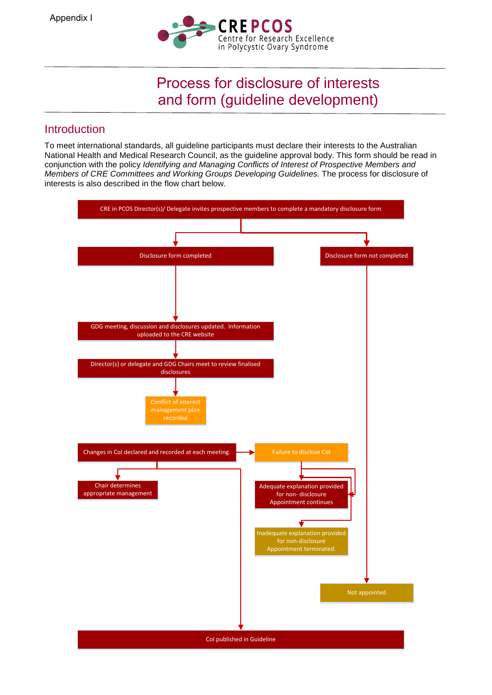

# Process for disclosure of interests and form (guideline development)

# <span id="page-9-0"></span>Introduction

To meet international standards, all guideline participants must declare their interests to the Australian National Health and Medical Research Council, as the guideline approval body. This form should be read in conjunction with the policy *Identifying and Managing Conflicts of Interest of Prospective Members and Members of CRE Committees and Working Groups Developing Guidelines.* The process for disclosure of interests is also described in the flow chart below.

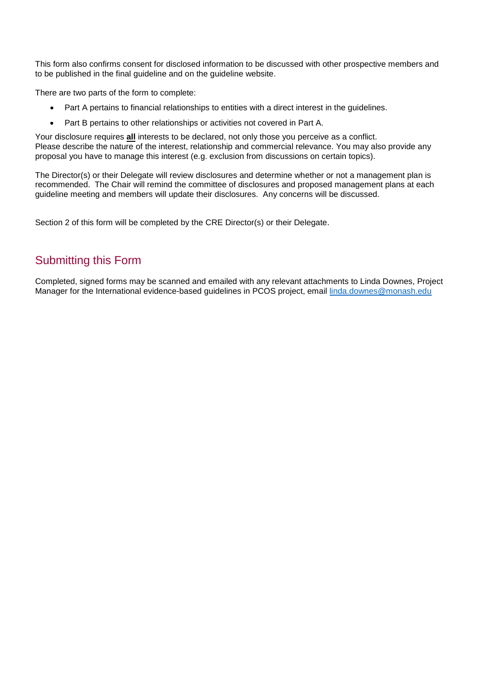This form also confirms consent for disclosed information to be discussed with other prospective members and to be published in the final guideline and on the guideline website.

There are two parts of the form to complete:

- Part A pertains to financial relationships to entities with a direct interest in the guidelines.
- Part B pertains to other relationships or activities not covered in Part A.

Your disclosure requires **all** interests to be declared, not only those you perceive as a conflict. Please describe the nature of the interest, relationship and commercial relevance. You may also provide any proposal you have to manage this interest (e.g. exclusion from discussions on certain topics).

The Director(s) or their Delegate will review disclosures and determine whether or not a management plan is recommended. The Chair will remind the committee of disclosures and proposed management plans at each guideline meeting and members will update their disclosures. Any concerns will be discussed.

Section 2 of this form will be completed by the CRE Director(s) or their Delegate.

# Submitting this Form

Completed, signed forms may be scanned and emailed with any relevant attachments to Linda Downes, Project Manager for the International evidence-based guidelines in PCOS project, email [linda.downes@monash.edu](mailto:linda.downes@monash.edu)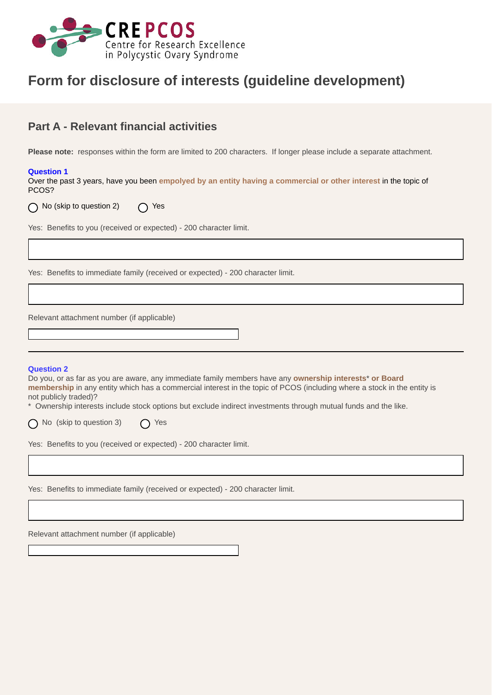

# **Form for disclosure of interests (guideline development)**

# **Part A - Relevant financial activities**

**Please note:** responses within the form are limited to 200 characters. If longer please include a separate attachment.

#### **Question 1**

Over the past 3 years, have you been **empolyed by an entity having a commercial or other interest** in the topic of PCOS?

 $\bigcap$  No (skip to question 2)  $\bigcap$  Yes

Yes: Benefits to you (received or expected) - 200 character limit.

Yes: Benefits to immediate family (received or expected) - 200 character limit.

Relevant attachment number (if applicable)

#### **Question 2**

Do you, or as far as you are aware, any immediate family members have any **ownership interests**\* **or Board membership** in any entity which has a commercial interest in the topic of PCOS (including where a stock in the entity is not publicly traded)?

\* Ownership interests include stock options but exclude indirect investments through mutual funds and the like.

 $\bigcap$  No (skip to question 3)  $\bigcap$  Yes

Yes: Benefits to you (received or expected) - 200 character limit.

Yes: Benefits to immediate family (received or expected) - 200 character limit.

Relevant attachment number (if applicable)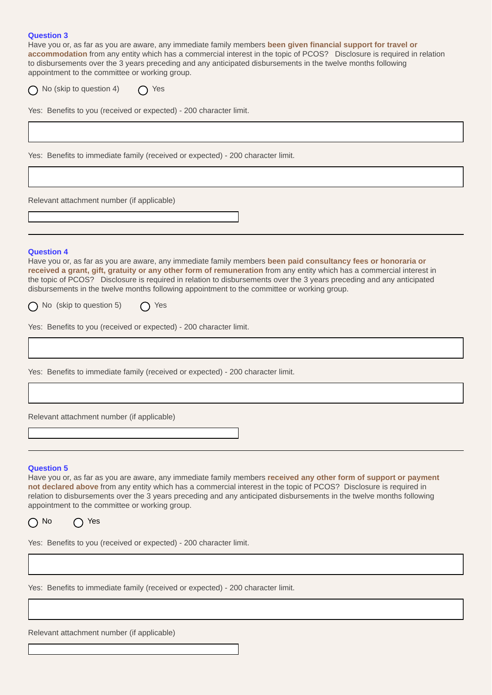#### **Question 3**

Have you or, as far as you are aware, any immediate family members **been given financial support for travel or accommodation** from any entity which has a commercial interest in the topic of PCOS? Disclosure is required in relation to disbursements over the 3 years preceding and any anticipated disbursements in the twelve months following appointment to the committee or working group.

 $\bigcap$  No (skip to question 4)  $\bigcap$  Yes

Yes: Benefits to you (received or expected) - 200 character limit.

Yes: Benefits to immediate family (received or expected) - 200 character limit.

Relevant attachment number (if applicable)

#### **Question 4**

Have you or, as far as you are aware, any immediate family members **been paid consultancy fees or honoraria or received a grant, gift, gratuity or any other form of remuneration** from any entity which has a commercial interest in the topic of PCOS? Disclosure is required in relation to disbursements over the 3 years preceding and any anticipated disbursements in the twelve months following appointment to the committee or working group.

◯ No (skip to question 5) ◯ Yes

Yes: Benefits to you (received or expected) - 200 character limit.

Yes: Benefits to immediate family (received or expected) - 200 character limit.

Relevant attachment number (if applicable)

#### **Question 5**

Have you or, as far as you are aware, any immediate family members **received any other form of support or payment not declared above** from any entity which has a commercial interest in the topic of PCOS? Disclosure is required in relation to disbursements over the 3 years preceding and any anticipated disbursements in the twelve months following appointment to the committee or working group.

| $\bigcap$ Yes |
|---------------|
|               |

Yes: Benefits to you (received or expected) - 200 character limit.

Yes: Benefits to immediate family (received or expected) - 200 character limit.

Relevant attachment number (if applicable)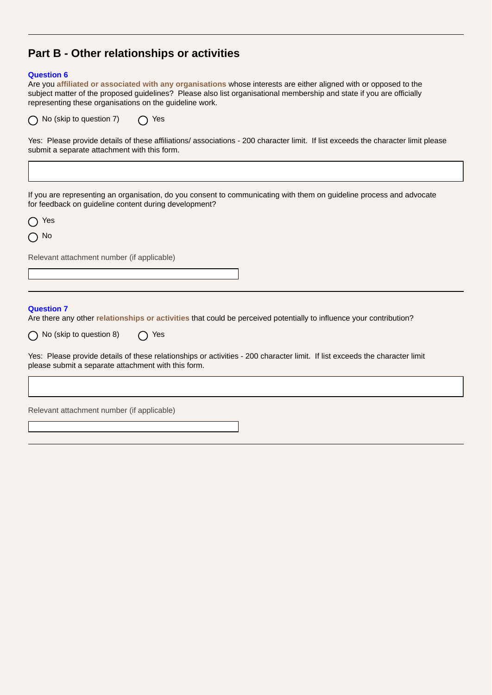# **Part B - Other relationships or activities**

#### **Question 6**

Are you **affiliated or associated with any organisations** whose interests are either aligned with or opposed to the subject matter of the proposed guidelines? Please also list organisational membership and state if you are officially representing these organisations on the guideline work.

| $\bigcap$ No (skip to question 7) | $\bigcap$ Yes |
|-----------------------------------|---------------|
|-----------------------------------|---------------|

Yes: Please provide details of these affiliations/ associations - 200 character limit. If list exceeds the character limit please submit a separate attachment with this form.

If you are representing an organisation, do you consent to communicating with them on guideline process and advocate for feedback on guideline content during development?

◯ Yes

O No

Relevant attachment number (if applicable)

#### **Question 7**

Are there any other **relationships or activities** that could be perceived potentially to influence your contribution?

 $\bigcap$  No (skip to question 8)  $\bigcap$  Yes

Yes: Please provide details of these relationships or activities - 200 character limit. If list exceeds the character limit please submit a separate attachment with this form.

Relevant attachment number (if applicable)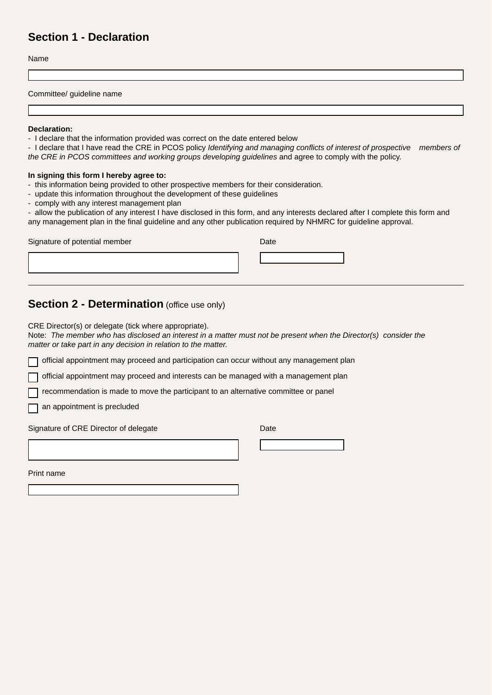# **Section 1 - Declaration**

Name

Committee/ guideline name

#### **Declaration:**

- I declare that the information provided was correct on the date entered below

- I declare that I have read the CRE in PCOS policy *Identifying and managing conflicts of interest of prospective members of the CRE in PCOS committees and working groups developing guidelines and agree to comply with the policy.* 

#### **In signing this form I hereby agree to:**

- this information being provided to other prospective members for their consideration.
- update this information throughout the development of these guidelines
- comply with any interest management plan

- allow the publication of any interest I have disclosed in this form, and any interests declared after I complete this form and any management plan in the final guideline and any other publication required by NHMRC for guideline approval.

| Signature of potential member | Date |
|-------------------------------|------|
|                               |      |

# **Section 2 - Determination** (office use only)

CRE Director(s) or delegate (tick where appropriate).

Note: *The member who has disclosed an interest in a matter must not be present when the Director(s) consider the matter or take part in any decision in relation to the matter.*

official appointment may proceed and participation can occur without any management plan

official appointment may proceed and interests can be managed with a management plan

recommendation is made to move the participant to an alternative committee or panel

an appointment is precluded

Signature of CRE Director of delegate Date Date

Print name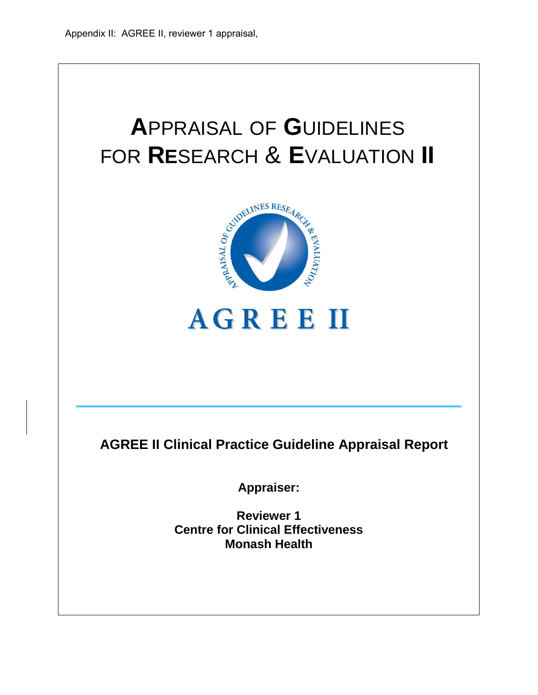# <span id="page-15-0"></span>**A**PPRAISAL OF **G**UIDELINES FOR **RE**SEARCH & **E**VALUATION **II**



# **AGREE II**

# **AGREE II Clinical Practice Guideline Appraisal Report**

**Appraiser:**

**Reviewer 1 Centre for Clinical Effectiveness Monash Health**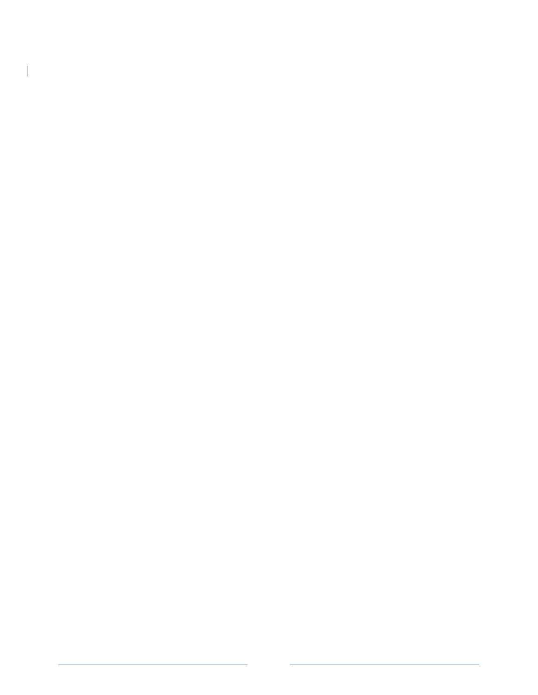$\begin{array}{c} \hline \end{array}$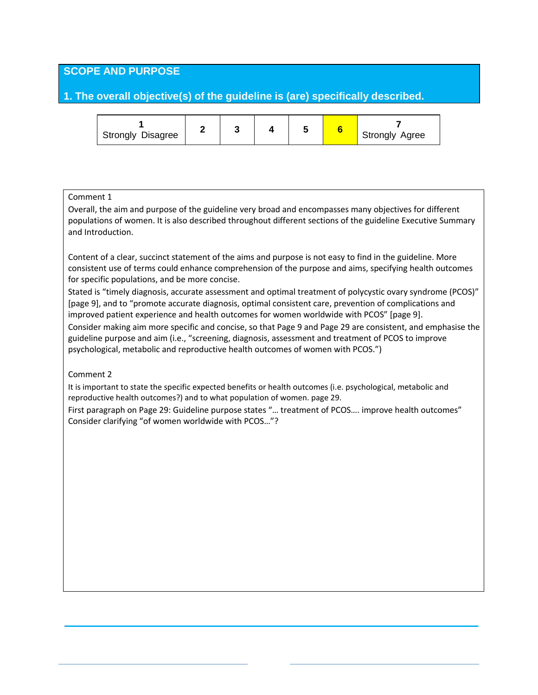# **SCOPE AND PURPOSE**

# **1. The overall objective(s) of the guideline is (are) specifically described.**

| Strongly Disagree |  | ш. |  |  |  | Strongly Agree |
|-------------------|--|----|--|--|--|----------------|
|-------------------|--|----|--|--|--|----------------|

#### Comment 1

Overall, the aim and purpose of the guideline very broad and encompasses many objectives for different populations of women. It is also described throughout different sections of the guideline Executive Summary and Introduction.

Content of a clear, succinct statement of the aims and purpose is not easy to find in the guideline. More consistent use of terms could enhance comprehension of the purpose and aims, specifying health outcomes for specific populations, and be more concise.

Stated is "timely diagnosis, accurate assessment and optimal treatment of polycystic ovary syndrome (PCOS)" [page 9], and to "promote accurate diagnosis, optimal consistent care, prevention of complications and improved patient experience and health outcomes for women worldwide with PCOS" [page 9].

Consider making aim more specific and concise, so that Page 9 and Page 29 are consistent, and emphasise the guideline purpose and aim (i.e., "screening, diagnosis, assessment and treatment of PCOS to improve psychological, metabolic and reproductive health outcomes of women with PCOS.")

#### Comment 2

It is important to state the specific expected benefits or health outcomes (i.e. psychological, metabolic and reproductive health outcomes?) and to what population of women. page 29.

First paragraph on Page 29: Guideline purpose states "... treatment of PCOS.... improve health outcomes" Consider clarifying "of women worldwide with PCOS…"?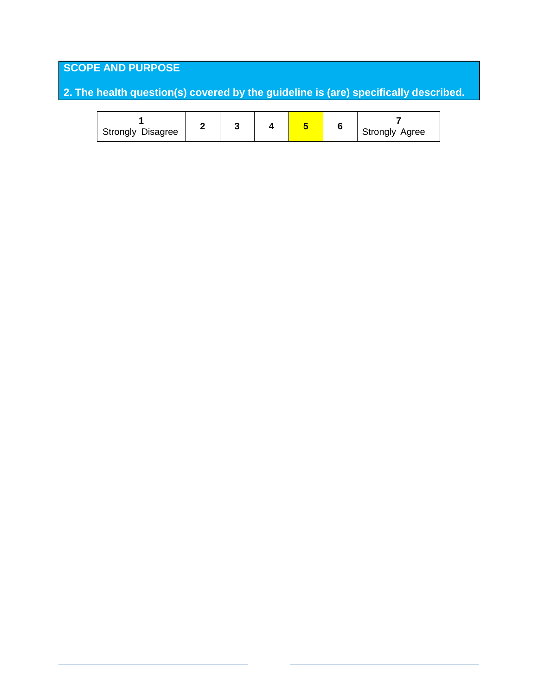# **SCOPE AND PURPOSE**

**2. The health question(s) covered by the guideline is (are) specifically described.**

| Strongly Disagree |  | ۰. |  |  |  | <b>Strongly Agree</b> |
|-------------------|--|----|--|--|--|-----------------------|
|-------------------|--|----|--|--|--|-----------------------|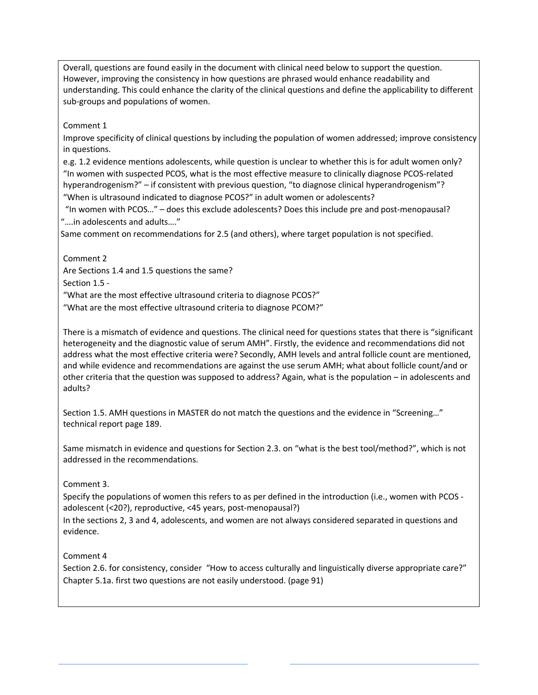Overall, questions are found easily in the document with clinical need below to support the question. However, improving the consistency in how questions are phrased would enhance readability and understanding. This could enhance the clarity of the clinical questions and define the applicability to different sub-groups and populations of women.

Comment 1

Improve specificity of clinical questions by including the population of women addressed; improve consistency in questions.

e.g. 1.2 evidence mentions adolescents, while question is unclear to whether this is for adult women only? "In women with suspected PCOS, what is the most effective measure to clinically diagnose PCOS-related hyperandrogenism?" – if consistent with previous question, "to diagnose clinical hyperandrogenism"? "When is ultrasound indicated to diagnose PCOS?" in adult women or adolescents?

"In women with PCOS…" – does this exclude adolescents? Does this include pre and post-menopausal? "….in adolescents and adults…."

Same comment on recommendations for 2.5 (and others), where target population is not specified.

Comment 2

Are Sections 1.4 and 1.5 questions the same?

Section 1.5 -

"What are the most effective ultrasound criteria to diagnose PCOS?"

"What are the most effective ultrasound criteria to diagnose PCOM?"

There is a mismatch of evidence and questions. The clinical need for questions states that there is "significant heterogeneity and the diagnostic value of serum AMH". Firstly, the evidence and recommendations did not address what the most effective criteria were? Secondly, AMH levels and antral follicle count are mentioned, and while evidence and recommendations are against the use serum AMH; what about follicle count/and or other criteria that the question was supposed to address? Again, what is the population – in adolescents and adults?

Section 1.5. AMH questions in MASTER do not match the questions and the evidence in "Screening…" technical report page 189.

Same mismatch in evidence and questions for Section 2.3. on "what is the best tool/method?", which is not addressed in the recommendations.

Comment 3.

Specify the populations of women this refers to as per defined in the introduction (i.e., women with PCOS adolescent (<20?), reproductive, <45 years, post-menopausal?)

In the sections 2, 3 and 4, adolescents, and women are not always considered separated in questions and evidence.

Comment 4

Section 2.6. for consistency, consider "How to access culturally and linguistically diverse appropriate care?" Chapter 5.1a. first two questions are not easily understood. (page 91)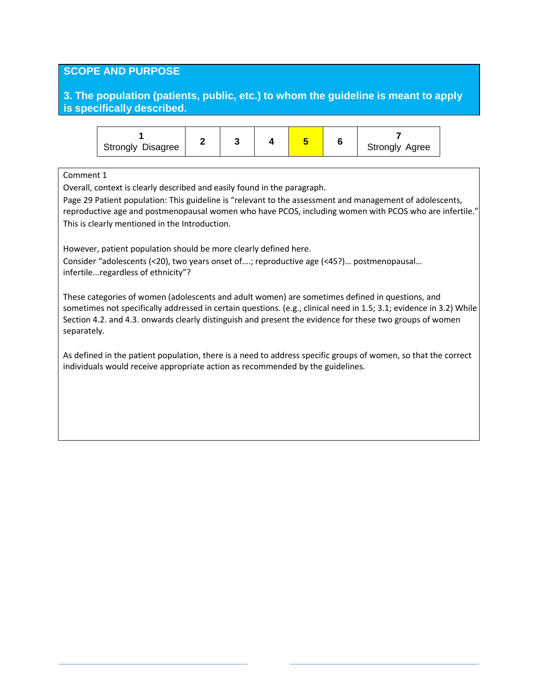# **SCOPE AND PURPOSE**

# **3. The population (patients, public, etc.) to whom the guideline is meant to apply is specifically described.**

| Strongly Disagree |  |  |  |  |  | Strongly Agree |
|-------------------|--|--|--|--|--|----------------|
|-------------------|--|--|--|--|--|----------------|

Comment 1

Overall, context is clearly described and easily found in the paragraph.

Page 29 Patient population: This guideline is "relevant to the assessment and management of adolescents, reproductive age and postmenopausal women who have PCOS, including women with PCOS who are infertile." This is clearly mentioned in the Introduction.

However, patient population should be more clearly defined here.

Consider "adolescents (<20), two years onset of….; reproductive age (<45?)… postmenopausal… infertile...regardless of ethnicity"?

These categories of women (adolescents and adult women) are sometimes defined in questions, and sometimes not specifically addressed in certain questions. (e.g., clinical need in 1.5; 3.1; evidence in 3.2) While Section 4.2. and 4.3. onwards clearly distinguish and present the evidence for these two groups of women separately.

As defined in the patient population, there is a need to address specific groups of women, so that the correct individuals would receive appropriate action as recommended by the guidelines.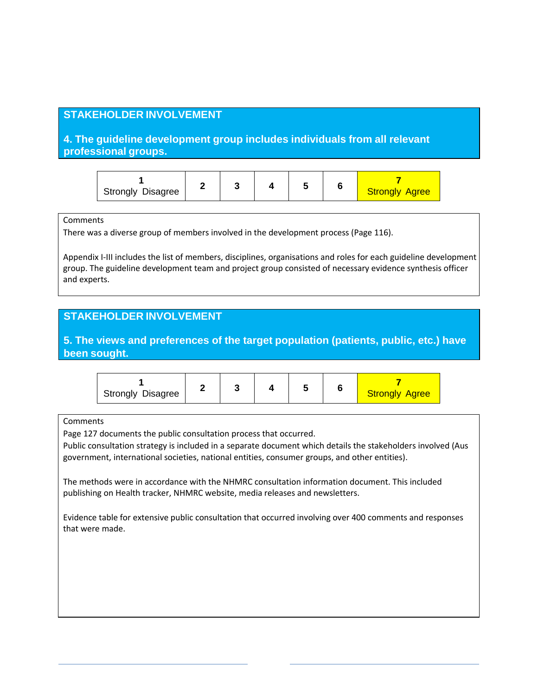# **STAKEHOLDER INVOLVEMENT**

# **4. The guideline development group includes individuals from all relevant professional groups.**

| <b>Strongly Disagree</b><br><b>Agree</b><br><b>ongly</b> |
|----------------------------------------------------------|
|----------------------------------------------------------|

**Comments** 

There was a diverse group of members involved in the development process (Page 116).

Appendix I-III includes the list of members, disciplines, organisations and roles for each guideline development group. The guideline development team and project group consisted of necessary evidence synthesis officer and experts.

# **STAKEHOLDER INVOLVEMENT**

**5. The views and preferences of the target population (patients, public, etc.) have been sought.**

| Strongly Disagree |  |  |  |  |  | <b>Strongly Agree</b> |
|-------------------|--|--|--|--|--|-----------------------|
|-------------------|--|--|--|--|--|-----------------------|

**Comments** 

Page 127 documents the public consultation process that occurred.

Public consultation strategy is included in a separate document which details the stakeholders involved (Aus government, international societies, national entities, consumer groups, and other entities).

The methods were in accordance with the NHMRC consultation information document. This included publishing on Health tracker, NHMRC website, media releases and newsletters.

Evidence table for extensive public consultation that occurred involving over 400 comments and responses that were made.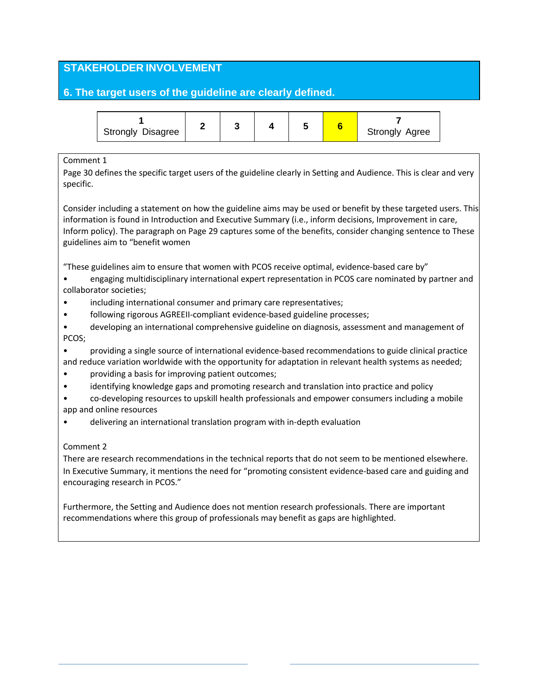# **STAKEHOLDER INVOLVEMENT**

# **6. The target users of the guideline are clearly defined.**

| <b>Strongly Disagree</b> |  |  |  |  |  | <b>Strongly Agree</b> |
|--------------------------|--|--|--|--|--|-----------------------|
|--------------------------|--|--|--|--|--|-----------------------|

#### Comment 1

Page 30 defines the specific target users of the guideline clearly in Setting and Audience. This is clear and very specific.

Consider including a statement on how the guideline aims may be used or benefit by these targeted users. This information is found in Introduction and Executive Summary (i.e., inform decisions, Improvement in care, Inform policy). The paragraph on Page 29 captures some of the benefits, consider changing sentence to These guidelines aim to "benefit women

"These guidelines aim to ensure that women with PCOS receive optimal, evidence-based care by"

- engaging multidisciplinary international expert representation in PCOS care nominated by partner and collaborator societies;
- including international consumer and primary care representatives;
- following rigorous AGREEII-compliant evidence-based guideline processes;
- developing an international comprehensive guideline on diagnosis, assessment and management of PCOS;
- providing a single source of international evidence-based recommendations to guide clinical practice and reduce variation worldwide with the opportunity for adaptation in relevant health systems as needed;
- providing a basis for improving patient outcomes;
- identifying knowledge gaps and promoting research and translation into practice and policy
- co-developing resources to upskill health professionals and empower consumers including a mobile app and online resources
- delivering an international translation program with in-depth evaluation

#### Comment 2

There are research recommendations in the technical reports that do not seem to be mentioned elsewhere. In Executive Summary, it mentions the need for "promoting consistent evidence-based care and guiding and encouraging research in PCOS."

Furthermore, the Setting and Audience does not mention research professionals. There are important recommendations where this group of professionals may benefit as gaps are highlighted.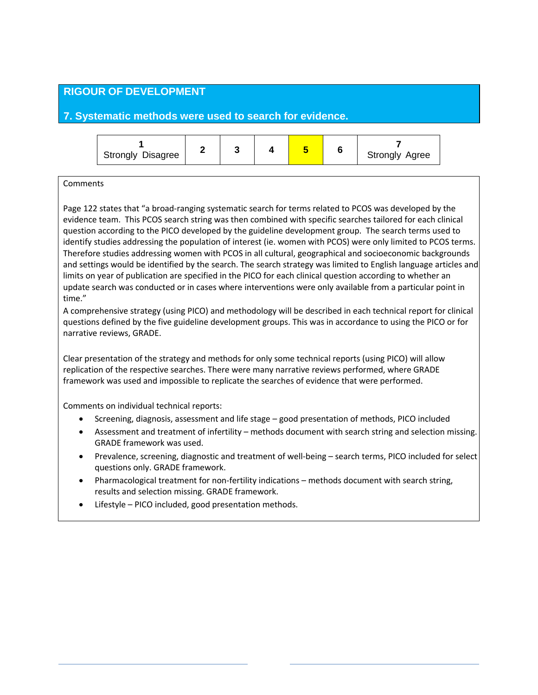# **7. Systematic methods were used to search for evidence.**

| Strongly Disagree |  |  |  |  |  | Strongly Agree |
|-------------------|--|--|--|--|--|----------------|
|-------------------|--|--|--|--|--|----------------|

**Comments** 

Page 122 states that "a broad-ranging systematic search for terms related to PCOS was developed by the evidence team. This PCOS search string was then combined with specific searches tailored for each clinical question according to the PICO developed by the guideline development group. The search terms used to identify studies addressing the population of interest (ie. women with PCOS) were only limited to PCOS terms. Therefore studies addressing women with PCOS in all cultural, geographical and socioeconomic backgrounds and settings would be identified by the search. The search strategy was limited to English language articles and limits on year of publication are specified in the PICO for each clinical question according to whether an update search was conducted or in cases where interventions were only available from a particular point in time."

A comprehensive strategy (using PICO) and methodology will be described in each technical report for clinical questions defined by the five guideline development groups. This was in accordance to using the PICO or for narrative reviews, GRADE.

Clear presentation of the strategy and methods for only some technical reports (using PICO) will allow replication of the respective searches. There were many narrative reviews performed, where GRADE framework was used and impossible to replicate the searches of evidence that were performed.

Comments on individual technical reports:

- Screening, diagnosis, assessment and life stage good presentation of methods, PICO included
- Assessment and treatment of infertility methods document with search string and selection missing. GRADE framework was used.
- Prevalence, screening, diagnostic and treatment of well-being search terms, PICO included for select questions only. GRADE framework.
- Pharmacological treatment for non-fertility indications methods document with search string, results and selection missing. GRADE framework.
- Lifestyle PICO included, good presentation methods.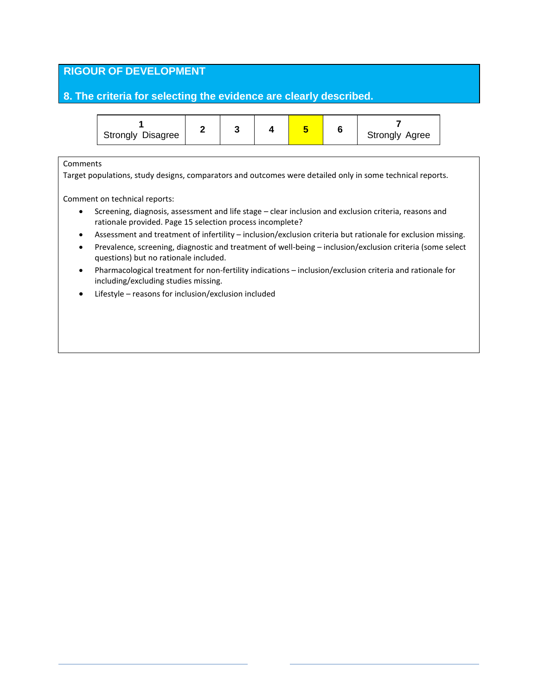## **8. The criteria for selecting the evidence are clearly described.**

| <b>Strongly Disagree</b> |  |  |  |  |  | Strongly Agree |
|--------------------------|--|--|--|--|--|----------------|
|--------------------------|--|--|--|--|--|----------------|

Comments

Target populations, study designs, comparators and outcomes were detailed only in some technical reports.

Comment on technical reports:

- Screening, diagnosis, assessment and life stage clear inclusion and exclusion criteria, reasons and rationale provided. Page 15 selection process incomplete?
- Assessment and treatment of infertility inclusion/exclusion criteria but rationale for exclusion missing.
- Prevalence, screening, diagnostic and treatment of well-being inclusion/exclusion criteria (some select questions) but no rationale included.
- Pharmacological treatment for non-fertility indications inclusion/exclusion criteria and rationale for including/excluding studies missing.
- Lifestyle reasons for inclusion/exclusion included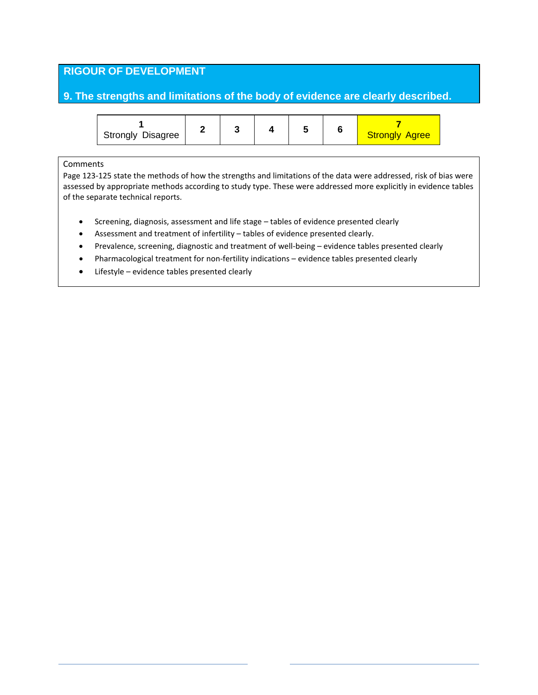# **9. The strengths and limitations of the body of evidence are clearly described.**

| <b>Strongly Disagree</b> |  | ш. |  |  |  | Strongly Agree |
|--------------------------|--|----|--|--|--|----------------|
|--------------------------|--|----|--|--|--|----------------|

#### **Comments**

Page 123-125 state the methods of how the strengths and limitations of the data were addressed, risk of bias were assessed by appropriate methods according to study type. These were addressed more explicitly in evidence tables of the separate technical reports.

- Screening, diagnosis, assessment and life stage tables of evidence presented clearly
- Assessment and treatment of infertility tables of evidence presented clearly.
- Prevalence, screening, diagnostic and treatment of well-being evidence tables presented clearly
- Pharmacological treatment for non-fertility indications evidence tables presented clearly
- Lifestyle evidence tables presented clearly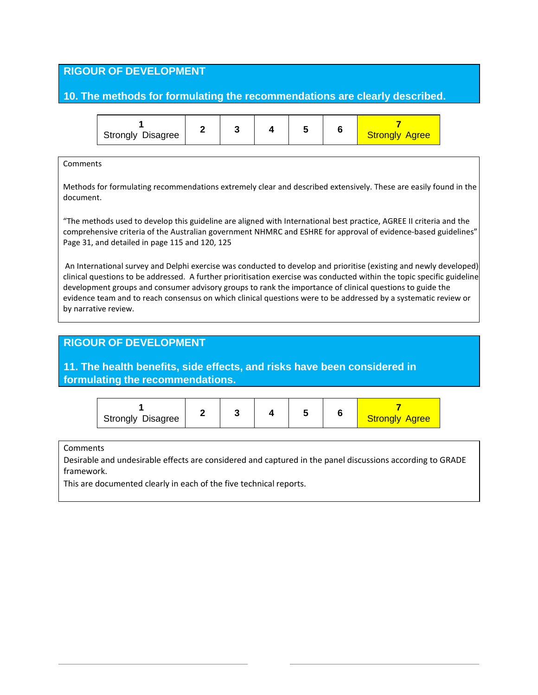# **10. The methods for formulating the recommendations are clearly described.**

| Strongly Disagree |  |  |  |  |  | Strongly Agree |
|-------------------|--|--|--|--|--|----------------|
|-------------------|--|--|--|--|--|----------------|

#### **Comments**

Methods for formulating recommendations extremely clear and described extensively. These are easily found in the document.

"The methods used to develop this guideline are aligned with International best practice, AGREE II criteria and the comprehensive criteria of the Australian government NHMRC and ESHRE for approval of evidence-based guidelines" Page 31, and detailed in page 115 and 120, 125

An International survey and Delphi exercise was conducted to develop and prioritise (existing and newly developed) clinical questions to be addressed. A further prioritisation exercise was conducted within the topic specific guideline development groups and consumer advisory groups to rank the importance of clinical questions to guide the evidence team and to reach consensus on which clinical questions were to be addressed by a systematic review or by narrative review.

# **RIGOUR OF DEVELOPMENT**

**11. The health benefits, side effects, and risks have been considered in formulating the recommendations.**

Comments

Desirable and undesirable effects are considered and captured in the panel discussions according to GRADE framework.

This are documented clearly in each of the five technical reports.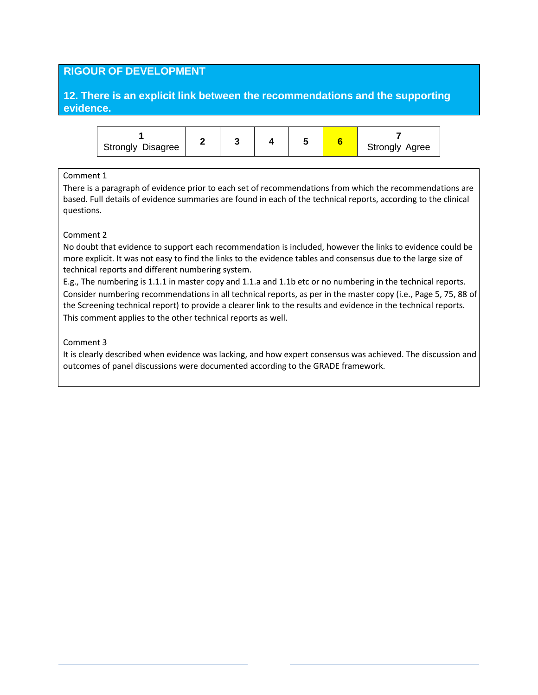### **12. There is an explicit link between the recommendations and the supporting evidence.**

| <b>Strongly Disagree</b> |  |  |  |  |  | Strongly Agree |
|--------------------------|--|--|--|--|--|----------------|
|--------------------------|--|--|--|--|--|----------------|

#### Comment 1

There is a paragraph of evidence prior to each set of recommendations from which the recommendations are based. Full details of evidence summaries are found in each of the technical reports, according to the clinical questions.

#### Comment 2

No doubt that evidence to support each recommendation is included, however the links to evidence could be more explicit. It was not easy to find the links to the evidence tables and consensus due to the large size of technical reports and different numbering system.

E.g., The numbering is 1.1.1 in master copy and 1.1.a and 1.1b etc or no numbering in the technical reports. Consider numbering recommendations in all technical reports, as per in the master copy (i.e., Page 5, 75, 88 of the Screening technical report) to provide a clearer link to the results and evidence in the technical reports. This comment applies to the other technical reports as well.

#### Comment 3

It is clearly described when evidence was lacking, and how expert consensus was achieved. The discussion and outcomes of panel discussions were documented according to the GRADE framework.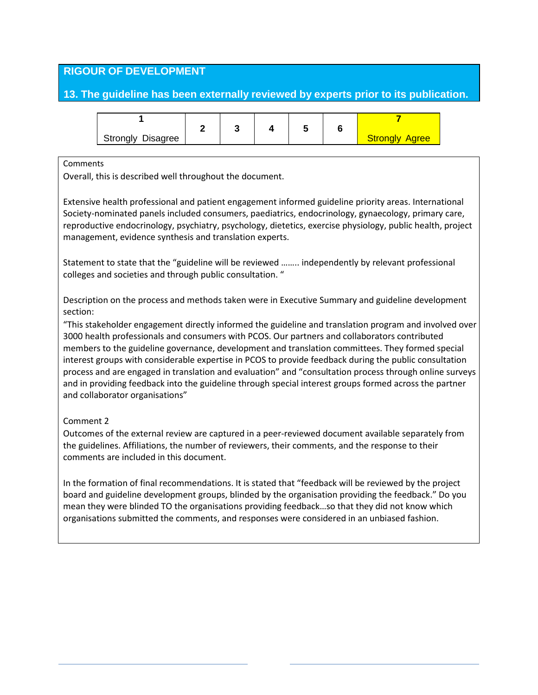# **13. The guideline has been externally reviewed by experts prior to its publication.**

| Strongly Disagree |  |  | <b>Strongly Agree</b> |
|-------------------|--|--|-----------------------|

**Comments** 

Overall, this is described well throughout the document.

Extensive health professional and patient engagement informed guideline priority areas. International Society-nominated panels included consumers, paediatrics, endocrinology, gynaecology, primary care, reproductive endocrinology, psychiatry, psychology, dietetics, exercise physiology, public health, project management, evidence synthesis and translation experts.

Statement to state that the "guideline will be reviewed …….. independently by relevant professional colleges and societies and through public consultation. "

Description on the process and methods taken were in Executive Summary and guideline development section:

"This stakeholder engagement directly informed the guideline and translation program and involved over 3000 health professionals and consumers with PCOS. Our partners and collaborators contributed members to the guideline governance, development and translation committees. They formed special interest groups with considerable expertise in PCOS to provide feedback during the public consultation process and are engaged in translation and evaluation" and "consultation process through online surveys and in providing feedback into the guideline through special interest groups formed across the partner and collaborator organisations"

#### Comment 2

Outcomes of the external review are captured in a peer-reviewed document available separately from the guidelines. Affiliations, the number of reviewers, their comments, and the response to their comments are included in this document.

In the formation of final recommendations. It is stated that "feedback will be reviewed by the project board and guideline development groups, blinded by the organisation providing the feedback." Do you mean they were blinded TO the organisations providing feedback…so that they did not know which organisations submitted the comments, and responses were considered in an unbiased fashion.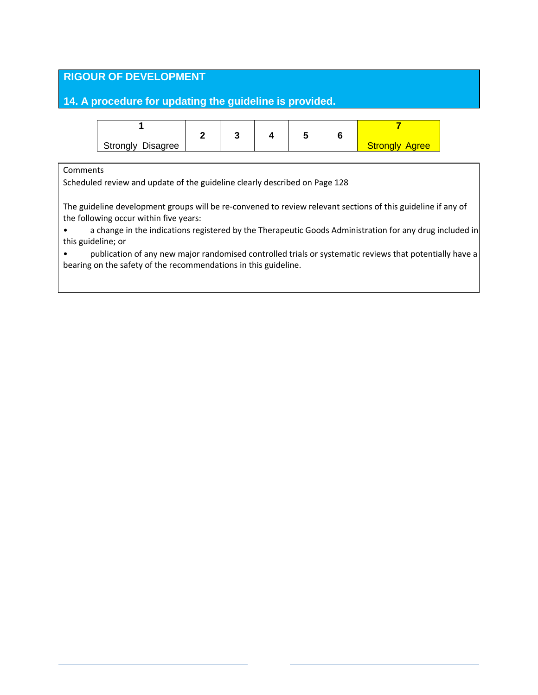# **14. A procedure for updating the guideline is provided.**

| <b>Strongly Disagree</b> |  |  | <b>Naree</b> |
|--------------------------|--|--|--------------|

#### **Comments**

Scheduled review and update of the guideline clearly described on Page 128

The guideline development groups will be re-convened to review relevant sections of this guideline if any of the following occur within five years:

• a change in the indications registered by the Therapeutic Goods Administration for any drug included in this guideline; or

• publication of any new major randomised controlled trials or systematic reviews that potentially have a bearing on the safety of the recommendations in this guideline.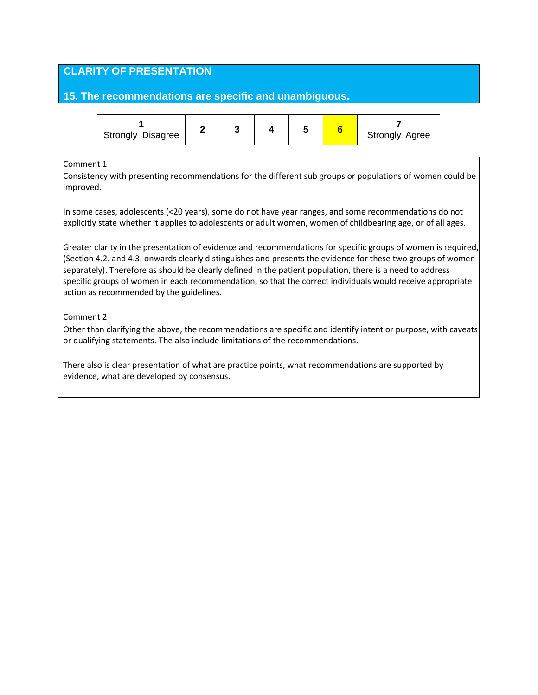# **CLARITY OF PRESENTATION**

# **15. The recommendations are specific and unambiguous.**

| Strongly Disagree |  |  |  |  |  | Strongly Agree |
|-------------------|--|--|--|--|--|----------------|
|-------------------|--|--|--|--|--|----------------|

Comment 1

Consistency with presenting recommendations for the different sub groups or populations of women could be improved.

In some cases, adolescents (<20 years), some do not have year ranges, and some recommendations do not explicitly state whether it applies to adolescents or adult women, women of childbearing age, or of all ages.

Greater clarity in the presentation of evidence and recommendations for specific groups of women is required, (Section 4.2. and 4.3. onwards clearly distinguishes and presents the evidence for these two groups of women separately). Therefore as should be clearly defined in the patient population, there is a need to address specific groups of women in each recommendation, so that the correct individuals would receive appropriate action as recommended by the guidelines.

#### Comment 2

Other than clarifying the above, the recommendations are specific and identify intent or purpose, with caveats or qualifying statements. The also include limitations of the recommendations.

There also is clear presentation of what are practice points, what recommendations are supported by evidence, what are developed by consensus.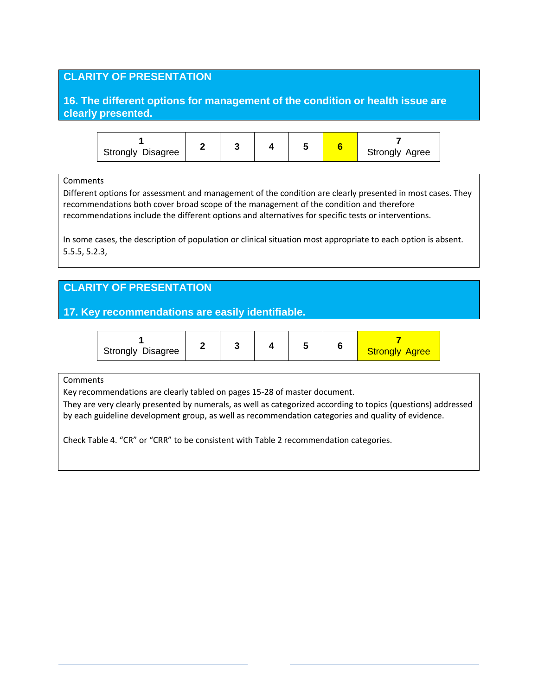# **CLARITY OF PRESENTATION**

### **16. The different options for management of the condition or health issue are clearly presented.**

| <b>Strongly Disagree</b> |  |  |  |  |  | <b>Strongly Agree</b> |
|--------------------------|--|--|--|--|--|-----------------------|
|--------------------------|--|--|--|--|--|-----------------------|

#### **Comments**

Different options for assessment and management of the condition are clearly presented in most cases. They recommendations both cover broad scope of the management of the condition and therefore recommendations include the different options and alternatives for specific tests or interventions.

In some cases, the description of population or clinical situation most appropriate to each option is absent. 5.5.5, 5.2.3,

# **CLARITY OF PRESENTATION**

# **17. Key recommendations are easily identifiable.**

| Strongly Disagree |  |  |  |  |  | <b>Strongly Agree</b> |
|-------------------|--|--|--|--|--|-----------------------|
|-------------------|--|--|--|--|--|-----------------------|

**Comments** 

Key recommendations are clearly tabled on pages 15-28 of master document.

They are very clearly presented by numerals, as well as categorized according to topics (questions) addressed by each guideline development group, as well as recommendation categories and quality of evidence.

Check Table 4. "CR" or "CRR" to be consistent with Table 2 recommendation categories.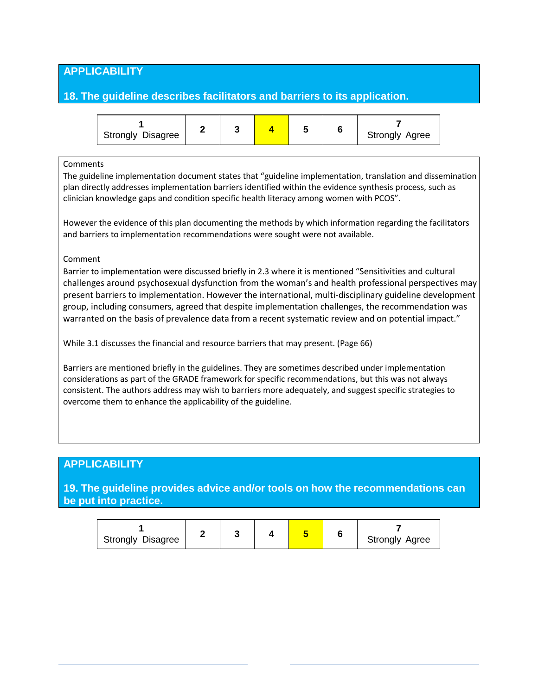# **APPLICABILITY**

# **18. The guideline describes facilitators and barriers to its application.**

| <b>Strongly Disagree</b> |  |  |  | . . |  | <b>Strongly Agree</b> |
|--------------------------|--|--|--|-----|--|-----------------------|
|--------------------------|--|--|--|-----|--|-----------------------|

#### **Comments**

The guideline implementation document states that "guideline implementation, translation and dissemination plan directly addresses implementation barriers identified within the evidence synthesis process, such as clinician knowledge gaps and condition specific health literacy among women with PCOS".

However the evidence of this plan documenting the methods by which information regarding the facilitators and barriers to implementation recommendations were sought were not available.

#### Comment

Barrier to implementation were discussed briefly in 2.3 where it is mentioned "Sensitivities and cultural challenges around psychosexual dysfunction from the woman's and health professional perspectives may present barriers to implementation. However the international, multi-disciplinary guideline development group, including consumers, agreed that despite implementation challenges, the recommendation was warranted on the basis of prevalence data from a recent systematic review and on potential impact."

While 3.1 discusses the financial and resource barriers that may present. (Page 66)

Barriers are mentioned briefly in the guidelines. They are sometimes described under implementation considerations as part of the GRADE framework for specific recommendations, but this was not always consistent. The authors address may wish to barriers more adequately, and suggest specific strategies to overcome them to enhance the applicability of the guideline.

# **APPLICABILITY**

**19. The guideline provides advice and/or tools on how the recommendations can be put into practice.**

| Strongly Disagree |  |  |  |  |  | Strongly Agree |
|-------------------|--|--|--|--|--|----------------|
|-------------------|--|--|--|--|--|----------------|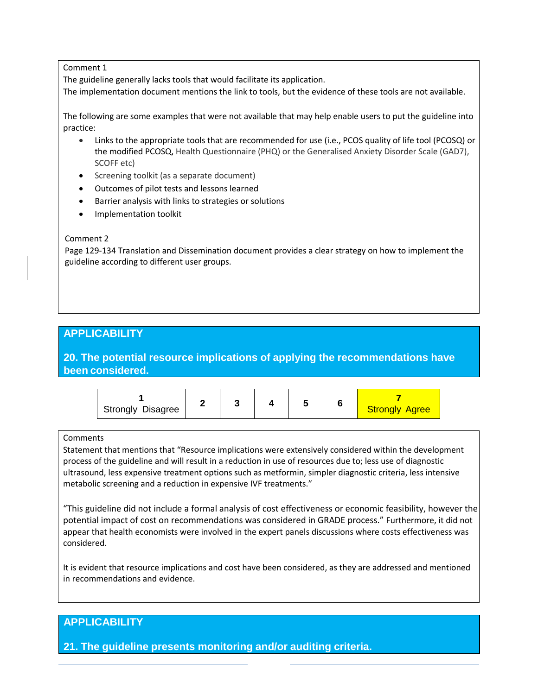#### Comment 1

The guideline generally lacks tools that would facilitate its application.

The implementation document mentions the link to tools, but the evidence of these tools are not available.

The following are some examples that were not available that may help enable users to put the guideline into practice:

- Links to the appropriate tools that are recommended for use (i.e., PCOS quality of life tool (PCOSQ) or the modified PCOSQ, Health Questionnaire (PHQ) or the Generalised Anxiety Disorder Scale (GAD7), SCOFF etc)
- Screening toolkit (as a separate document)
- Outcomes of pilot tests and lessons learned
- Barrier analysis with links to strategies or solutions
- Implementation toolkit

#### Comment 2

Page 129-134 Translation and Dissemination document provides a clear strategy on how to implement the guideline according to different user groups.

# **APPLICABILITY**

**20. The potential resource implications of applying the recommendations have been considered.**

| Strongly Disagree |  |  |  |  |  | <b>Strongly Agree</b> |
|-------------------|--|--|--|--|--|-----------------------|
|-------------------|--|--|--|--|--|-----------------------|

#### **Comments**

Statement that mentions that "Resource implications were extensively considered within the development process of the guideline and will result in a reduction in use of resources due to; less use of diagnostic ultrasound, less expensive treatment options such as metformin, simpler diagnostic criteria, less intensive metabolic screening and a reduction in expensive IVF treatments."

"This guideline did not include a formal analysis of cost effectiveness or economic feasibility, however the potential impact of cost on recommendations was considered in GRADE process." Furthermore, it did not appear that health economists were involved in the expert panels discussions where costs effectiveness was considered.

It is evident that resource implications and cost have been considered, as they are addressed and mentioned in recommendations and evidence.

# **APPLICABILITY**

**21. The guideline presents monitoring and/or auditing criteria.**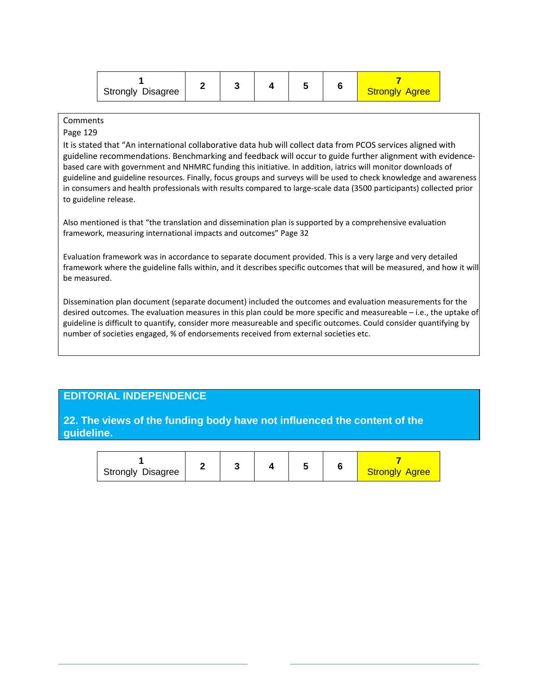| <b>Strongly Disagree</b> |  |  |  |  |  | <b>Agree</b><br>Strongly |
|--------------------------|--|--|--|--|--|--------------------------|
|--------------------------|--|--|--|--|--|--------------------------|

#### **Comments**

Page 129

It is stated that "An international collaborative data hub will collect data from PCOS services aligned with guideline recommendations. Benchmarking and feedback will occur to guide further alignment with evidencebased care with government and NHMRC funding this initiative. In addition, iatrics will monitor downloads of guideline and guideline resources. Finally, focus groups and surveys will be used to check knowledge and awareness in consumers and health professionals with results compared to large-scale data (3500 participants) collected prior to guideline release.

Also mentioned is that "the translation and dissemination plan is supported by a comprehensive evaluation framework, measuring international impacts and outcomes" Page 32

Evaluation framework was in accordance to separate document provided. This is a very large and very detailed framework where the guideline falls within, and it describes specific outcomes that will be measured, and how it will be measured.

Dissemination plan document (separate document) included the outcomes and evaluation measurements for the desired outcomes. The evaluation measures in this plan could be more specific and measureable – i.e., the uptake of guideline is difficult to quantify, consider more measureable and specific outcomes. Could consider quantifying by number of societies engaged, % of endorsements received from external societies etc.

# **EDITORIAL INDEPENDENCE**

**22. The views of the funding body have not influenced the content of the guideline.**

| <b>Strongly Disagree</b> |  |  |  |  |  | <b>Strongly Agree</b> |
|--------------------------|--|--|--|--|--|-----------------------|
|--------------------------|--|--|--|--|--|-----------------------|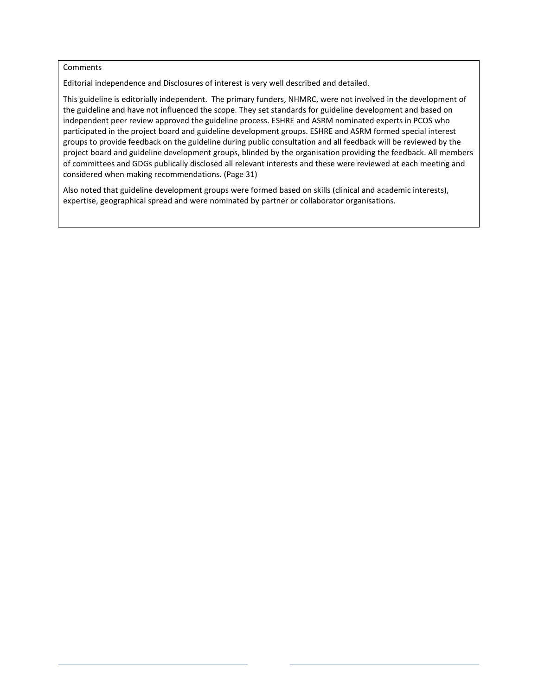#### **Comments**

Editorial independence and Disclosures of interest is very well described and detailed.

This guideline is editorially independent. The primary funders, NHMRC, were not involved in the development of the guideline and have not influenced the scope. They set standards for guideline development and based on independent peer review approved the guideline process. ESHRE and ASRM nominated experts in PCOS who participated in the project board and guideline development groups. ESHRE and ASRM formed special interest groups to provide feedback on the guideline during public consultation and all feedback will be reviewed by the project board and guideline development groups, blinded by the organisation providing the feedback. All members of committees and GDGs publically disclosed all relevant interests and these were reviewed at each meeting and considered when making recommendations. (Page 31)

Also noted that guideline development groups were formed based on skills (clinical and academic interests), expertise, geographical spread and were nominated by partner or collaborator organisations.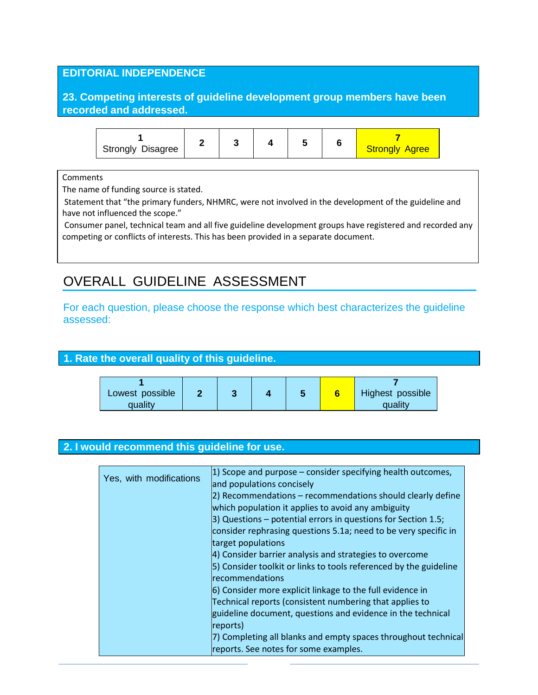# **EDITORIAL INDEPENDENCE**

**23. Competing interests of guideline development group members have been recorded and addressed.**

| Strongly Disagree |  |  |  |  |  | <b>Strongly Agree</b> |
|-------------------|--|--|--|--|--|-----------------------|
|-------------------|--|--|--|--|--|-----------------------|

#### **Comments**

The name of funding source is stated.

Statement that "the primary funders, NHMRC, were not involved in the development of the guideline and have not influenced the scope."

Consumer panel, technical team and all five guideline development groups have registered and recorded any competing or conflicts of interests. This has been provided in a separate document.

# OVERALL GUIDELINE ASSESSMENT

For each question, please choose the response which best characterizes the guideline assessed:

# **1. Rate the overall quality of this guideline.**

| Lowest possible |  |  | Highest possible |
|-----------------|--|--|------------------|
| aualitv         |  |  | quality          |

#### **2. I would recommend this guideline for use.**

| Yes, with modifications | $ 1)$ Scope and purpose – consider specifying health outcomes,<br>and populations concisely |
|-------------------------|---------------------------------------------------------------------------------------------|
|                         | 2) Recommendations - recommendations should clearly define                                  |
|                         | which population it applies to avoid any ambiguity                                          |
|                         | $ 3)$ Questions – potential errors in questions for Section 1.5;                            |
|                         | consider rephrasing questions 5.1a; need to be very specific in                             |
|                         | target populations                                                                          |
|                         | 4) Consider barrier analysis and strategies to overcome                                     |
|                         | 5) Consider toolkit or links to tools referenced by the guideline                           |
|                         | recommendations                                                                             |
|                         | 6) Consider more explicit linkage to the full evidence in                                   |
|                         | Technical reports (consistent numbering that applies to                                     |
|                         | guideline document, questions and evidence in the technical                                 |
|                         | reports)                                                                                    |
|                         | 7) Completing all blanks and empty spaces throughout technical                              |
|                         | reports. See notes for some examples.                                                       |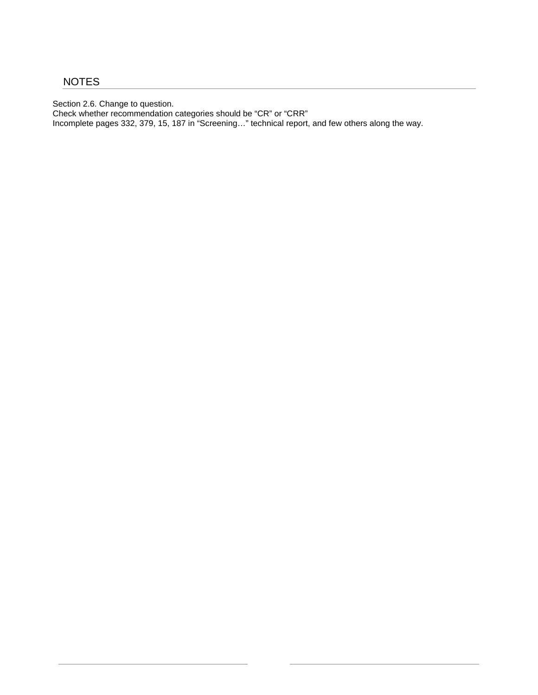Section 2.6. Change to question.

Check whether recommendation categories should be "CR" or "CRR"

Incomplete pages 332, 379, 15, 187 in "Screening…" technical report, and few others along the way.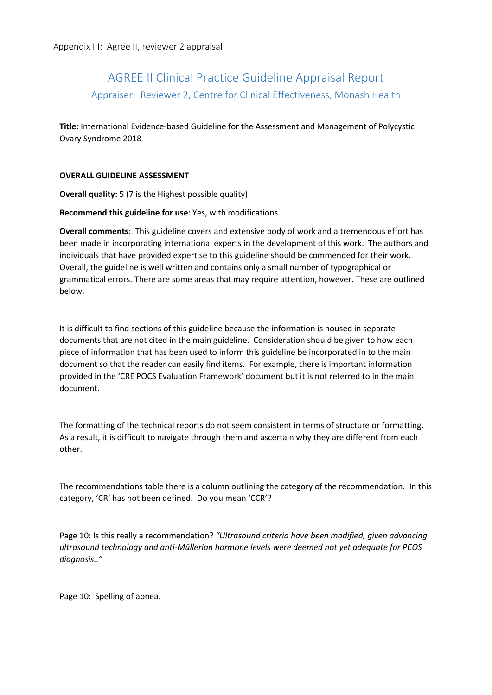# <span id="page-38-0"></span>AGREE II Clinical Practice Guideline Appraisal Report Appraiser: Reviewer 2, Centre for Clinical Effectiveness, Monash Health

**Title:** International Evidence-based Guideline for the Assessment and Management of Polycystic Ovary Syndrome 2018

#### **OVERALL GUIDELINE ASSESSMENT**

**Overall quality:** 5 (7 is the Highest possible quality)

#### **Recommend this guideline for use**: Yes, with modifications

**Overall comments**: This guideline covers and extensive body of work and a tremendous effort has been made in incorporating international experts in the development of this work. The authors and individuals that have provided expertise to this guideline should be commended for their work. Overall, the guideline is well written and contains only a small number of typographical or grammatical errors. There are some areas that may require attention, however. These are outlined below.

It is difficult to find sections of this guideline because the information is housed in separate documents that are not cited in the main guideline. Consideration should be given to how each piece of information that has been used to inform this guideline be incorporated in to the main document so that the reader can easily find items. For example, there is important information provided in the 'CRE POCS Evaluation Framework' document but it is not referred to in the main document.

The formatting of the technical reports do not seem consistent in terms of structure or formatting. As a result, it is difficult to navigate through them and ascertain why they are different from each other.

The recommendations table there is a column outlining the category of the recommendation. In this category, 'CR' has not been defined. Do you mean 'CCR'?

Page 10: Is this really a recommendation? *"Ultrasound criteria have been modified, given advancing ultrasound technology and anti-Müllerian hormone levels were deemed not yet adequate for PCOS diagnosis.."*

Page 10: Spelling of apnea.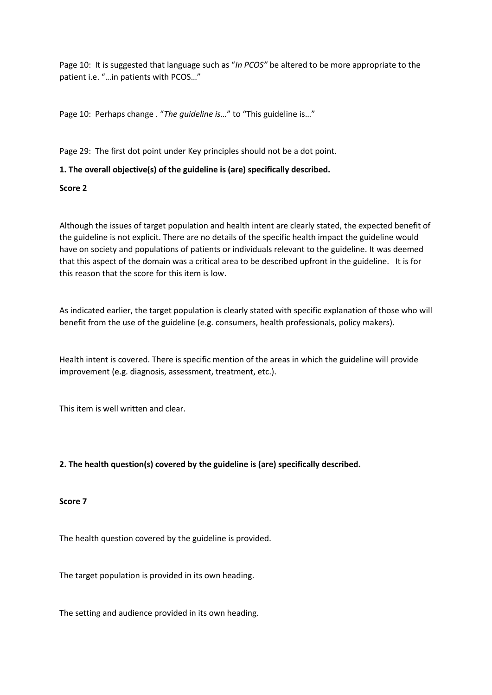Page 10: It is suggested that language such as "*In PCOS"* be altered to be more appropriate to the patient i.e. "…in patients with PCOS…"

Page 10: Perhaps change . "*The guideline is…*" to "This guideline is…"

Page 29: The first dot point under Key principles should not be a dot point.

#### **1. The overall objective(s) of the guideline is (are) specifically described.**

#### **Score 2**

Although the issues of target population and health intent are clearly stated, the expected benefit of the guideline is not explicit. There are no details of the specific health impact the guideline would have on society and populations of patients or individuals relevant to the guideline. It was deemed that this aspect of the domain was a critical area to be described upfront in the guideline. It is for this reason that the score for this item is low.

As indicated earlier, the target population is clearly stated with specific explanation of those who will benefit from the use of the guideline (e.g. consumers, health professionals, policy makers).

Health intent is covered. There is specific mention of the areas in which the guideline will provide improvement (e.g. diagnosis, assessment, treatment, etc.).

This item is well written and clear.

#### **2. The health question(s) covered by the guideline is (are) specifically described.**

#### **Score 7**

The health question covered by the guideline is provided.

The target population is provided in its own heading.

The setting and audience provided in its own heading.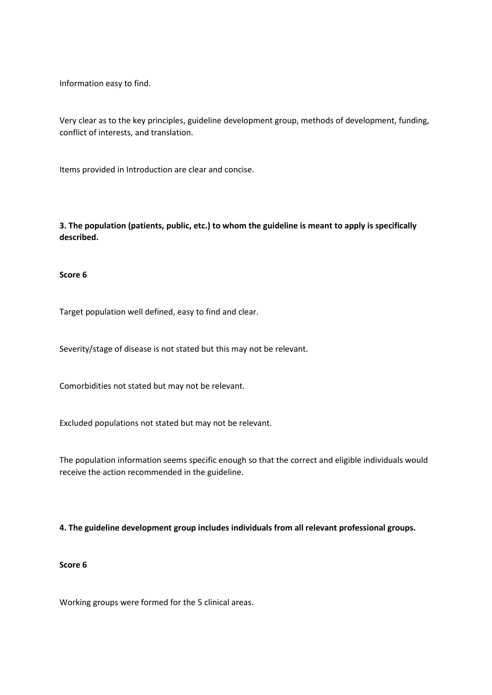Information easy to find.

Very clear as to the key principles, guideline development group, methods of development, funding, conflict of interests, and translation.

Items provided in Introduction are clear and concise.

**3. The population (patients, public, etc.) to whom the guideline is meant to apply is specifically described.**

**Score 6**

Target population well defined, easy to find and clear.

Severity/stage of disease is not stated but this may not be relevant.

Comorbidities not stated but may not be relevant.

Excluded populations not stated but may not be relevant.

The population information seems specific enough so that the correct and eligible individuals would receive the action recommended in the guideline.

#### **4. The guideline development group includes individuals from all relevant professional groups.**

#### **Score 6**

Working groups were formed for the 5 clinical areas.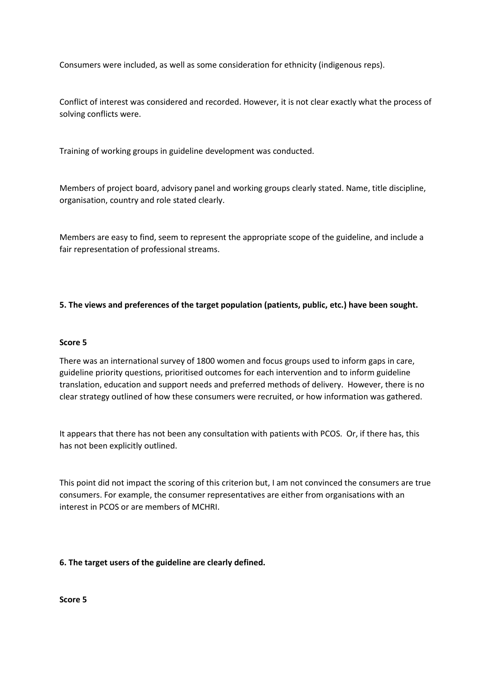Consumers were included, as well as some consideration for ethnicity (indigenous reps).

Conflict of interest was considered and recorded. However, it is not clear exactly what the process of solving conflicts were.

Training of working groups in guideline development was conducted.

Members of project board, advisory panel and working groups clearly stated. Name, title discipline, organisation, country and role stated clearly.

Members are easy to find, seem to represent the appropriate scope of the guideline, and include a fair representation of professional streams.

#### **5. The views and preferences of the target population (patients, public, etc.) have been sought.**

#### **Score 5**

There was an international survey of 1800 women and focus groups used to inform gaps in care, guideline priority questions, prioritised outcomes for each intervention and to inform guideline translation, education and support needs and preferred methods of delivery. However, there is no clear strategy outlined of how these consumers were recruited, or how information was gathered.

It appears that there has not been any consultation with patients with PCOS. Or, if there has, this has not been explicitly outlined.

This point did not impact the scoring of this criterion but, I am not convinced the consumers are true consumers. For example, the consumer representatives are either from organisations with an interest in PCOS or are members of MCHRI.

#### **6. The target users of the guideline are clearly defined.**

**Score 5**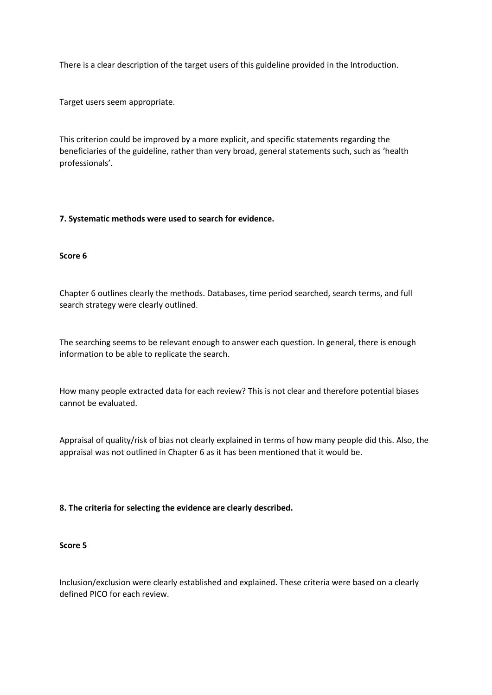There is a clear description of the target users of this guideline provided in the Introduction.

Target users seem appropriate.

This criterion could be improved by a more explicit, and specific statements regarding the beneficiaries of the guideline, rather than very broad, general statements such, such as 'health professionals'.

#### **7. Systematic methods were used to search for evidence.**

#### **Score 6**

Chapter 6 outlines clearly the methods. Databases, time period searched, search terms, and full search strategy were clearly outlined.

The searching seems to be relevant enough to answer each question. In general, there is enough information to be able to replicate the search.

How many people extracted data for each review? This is not clear and therefore potential biases cannot be evaluated.

Appraisal of quality/risk of bias not clearly explained in terms of how many people did this. Also, the appraisal was not outlined in Chapter 6 as it has been mentioned that it would be.

#### **8. The criteria for selecting the evidence are clearly described.**

#### **Score 5**

Inclusion/exclusion were clearly established and explained. These criteria were based on a clearly defined PICO for each review.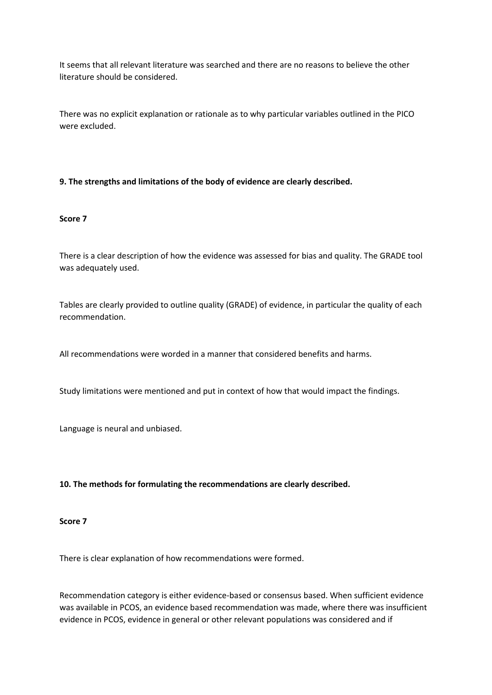It seems that all relevant literature was searched and there are no reasons to believe the other literature should be considered.

There was no explicit explanation or rationale as to why particular variables outlined in the PICO were excluded.

#### **9. The strengths and limitations of the body of evidence are clearly described.**

#### **Score 7**

There is a clear description of how the evidence was assessed for bias and quality. The GRADE tool was adequately used.

Tables are clearly provided to outline quality (GRADE) of evidence, in particular the quality of each recommendation.

All recommendations were worded in a manner that considered benefits and harms.

Study limitations were mentioned and put in context of how that would impact the findings.

Language is neural and unbiased.

#### **10. The methods for formulating the recommendations are clearly described.**

#### **Score 7**

There is clear explanation of how recommendations were formed.

Recommendation category is either evidence-based or consensus based. When sufficient evidence was available in PCOS, an evidence based recommendation was made, where there was insufficient evidence in PCOS, evidence in general or other relevant populations was considered and if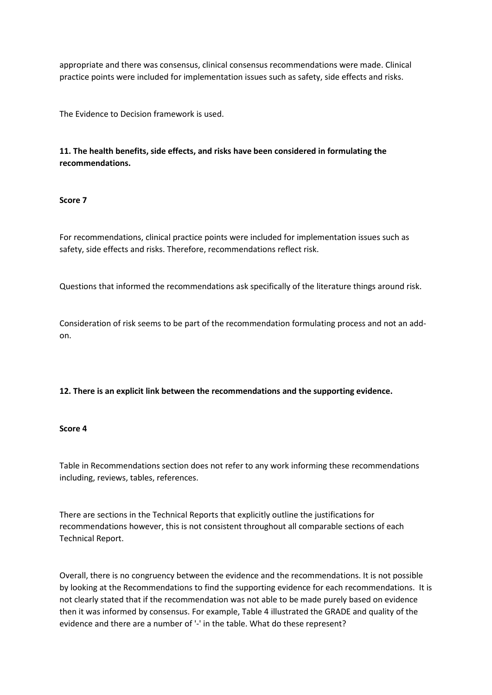appropriate and there was consensus, clinical consensus recommendations were made. Clinical practice points were included for implementation issues such as safety, side effects and risks.

The Evidence to Decision framework is used.

#### **11. The health benefits, side effects, and risks have been considered in formulating the recommendations.**

#### **Score 7**

For recommendations, clinical practice points were included for implementation issues such as safety, side effects and risks. Therefore, recommendations reflect risk.

Questions that informed the recommendations ask specifically of the literature things around risk.

Consideration of risk seems to be part of the recommendation formulating process and not an addon.

#### **12. There is an explicit link between the recommendations and the supporting evidence.**

#### **Score 4**

Table in Recommendations section does not refer to any work informing these recommendations including, reviews, tables, references.

There are sections in the Technical Reports that explicitly outline the justifications for recommendations however, this is not consistent throughout all comparable sections of each Technical Report.

Overall, there is no congruency between the evidence and the recommendations. It is not possible by looking at the Recommendations to find the supporting evidence for each recommendations. It is not clearly stated that if the recommendation was not able to be made purely based on evidence then it was informed by consensus. For example, Table 4 illustrated the GRADE and quality of the evidence and there are a number of '-' in the table. What do these represent?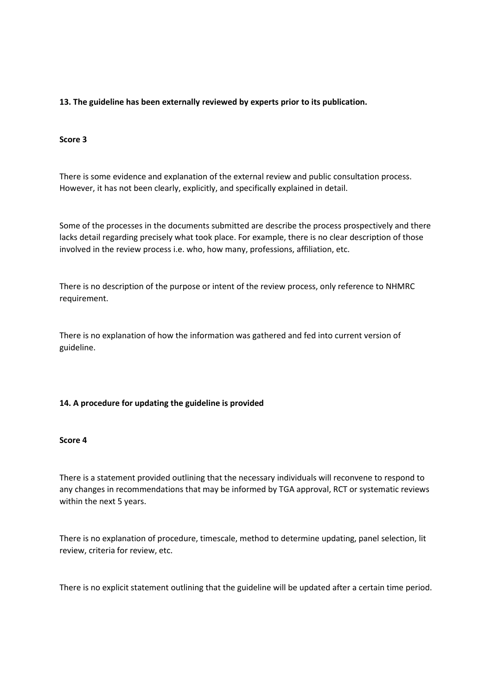#### **13. The guideline has been externally reviewed by experts prior to its publication.**

#### **Score 3**

There is some evidence and explanation of the external review and public consultation process. However, it has not been clearly, explicitly, and specifically explained in detail.

Some of the processes in the documents submitted are describe the process prospectively and there lacks detail regarding precisely what took place. For example, there is no clear description of those involved in the review process i.e. who, how many, professions, affiliation, etc.

There is no description of the purpose or intent of the review process, only reference to NHMRC requirement.

There is no explanation of how the information was gathered and fed into current version of guideline.

#### **14. A procedure for updating the guideline is provided**

#### **Score 4**

There is a statement provided outlining that the necessary individuals will reconvene to respond to any changes in recommendations that may be informed by TGA approval, RCT or systematic reviews within the next 5 years.

There is no explanation of procedure, timescale, method to determine updating, panel selection, lit review, criteria for review, etc.

There is no explicit statement outlining that the guideline will be updated after a certain time period.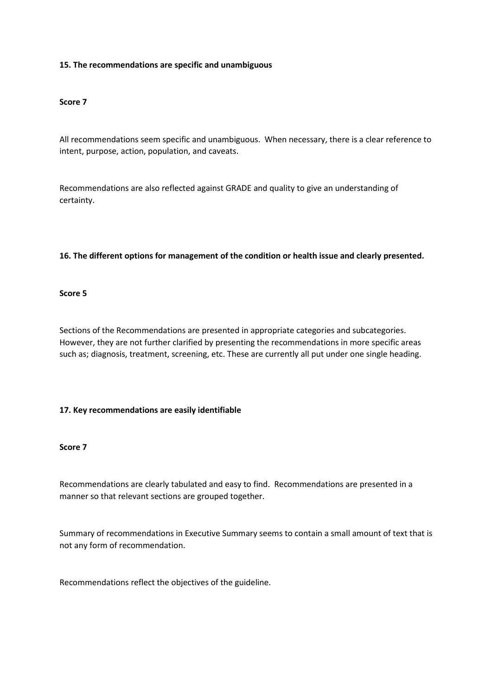#### **15. The recommendations are specific and unambiguous**

#### **Score 7**

All recommendations seem specific and unambiguous. When necessary, there is a clear reference to intent, purpose, action, population, and caveats.

Recommendations are also reflected against GRADE and quality to give an understanding of certainty.

#### **16. The different options for management of the condition or health issue and clearly presented.**

#### **Score 5**

Sections of the Recommendations are presented in appropriate categories and subcategories. However, they are not further clarified by presenting the recommendations in more specific areas such as; diagnosis, treatment, screening, etc. These are currently all put under one single heading.

#### **17. Key recommendations are easily identifiable**

#### **Score 7**

Recommendations are clearly tabulated and easy to find. Recommendations are presented in a manner so that relevant sections are grouped together.

Summary of recommendations in Executive Summary seems to contain a small amount of text that is not any form of recommendation.

Recommendations reflect the objectives of the guideline.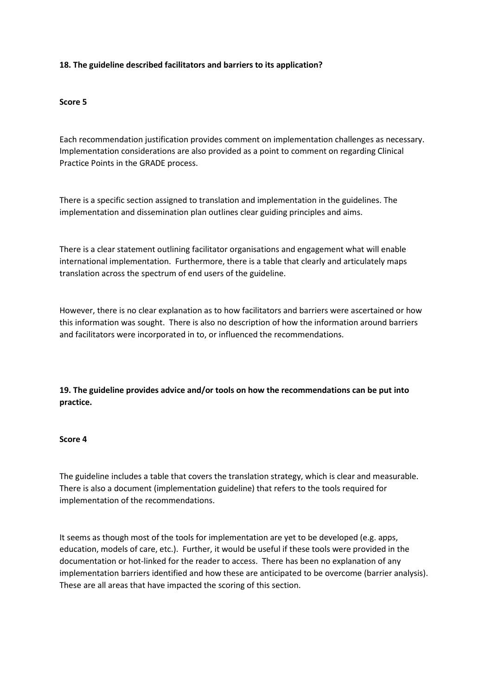#### **18. The guideline described facilitators and barriers to its application?**

#### **Score 5**

Each recommendation justification provides comment on implementation challenges as necessary. Implementation considerations are also provided as a point to comment on regarding Clinical Practice Points in the GRADE process.

There is a specific section assigned to translation and implementation in the guidelines. The implementation and dissemination plan outlines clear guiding principles and aims.

There is a clear statement outlining facilitator organisations and engagement what will enable international implementation. Furthermore, there is a table that clearly and articulately maps translation across the spectrum of end users of the guideline.

However, there is no clear explanation as to how facilitators and barriers were ascertained or how this information was sought. There is also no description of how the information around barriers and facilitators were incorporated in to, or influenced the recommendations.

**19. The guideline provides advice and/or tools on how the recommendations can be put into practice.**

#### **Score 4**

The guideline includes a table that covers the translation strategy, which is clear and measurable. There is also a document (implementation guideline) that refers to the tools required for implementation of the recommendations.

It seems as though most of the tools for implementation are yet to be developed (e.g. apps, education, models of care, etc.). Further, it would be useful if these tools were provided in the documentation or hot-linked for the reader to access. There has been no explanation of any implementation barriers identified and how these are anticipated to be overcome (barrier analysis). These are all areas that have impacted the scoring of this section.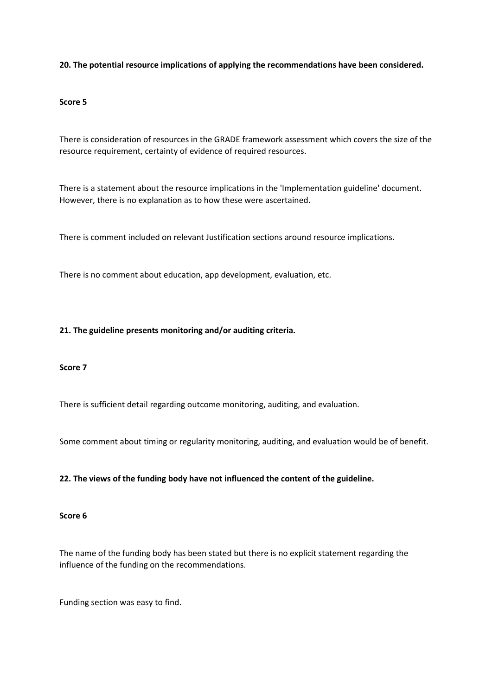**20. The potential resource implications of applying the recommendations have been considered.**

#### **Score 5**

There is consideration of resources in the GRADE framework assessment which covers the size of the resource requirement, certainty of evidence of required resources.

There is a statement about the resource implications in the 'Implementation guideline' document. However, there is no explanation as to how these were ascertained.

There is comment included on relevant Justification sections around resource implications.

There is no comment about education, app development, evaluation, etc.

**21. The guideline presents monitoring and/or auditing criteria.**

#### **Score 7**

There is sufficient detail regarding outcome monitoring, auditing, and evaluation.

Some comment about timing or regularity monitoring, auditing, and evaluation would be of benefit.

**22. The views of the funding body have not influenced the content of the guideline.**

#### **Score 6**

The name of the funding body has been stated but there is no explicit statement regarding the influence of the funding on the recommendations.

Funding section was easy to find.